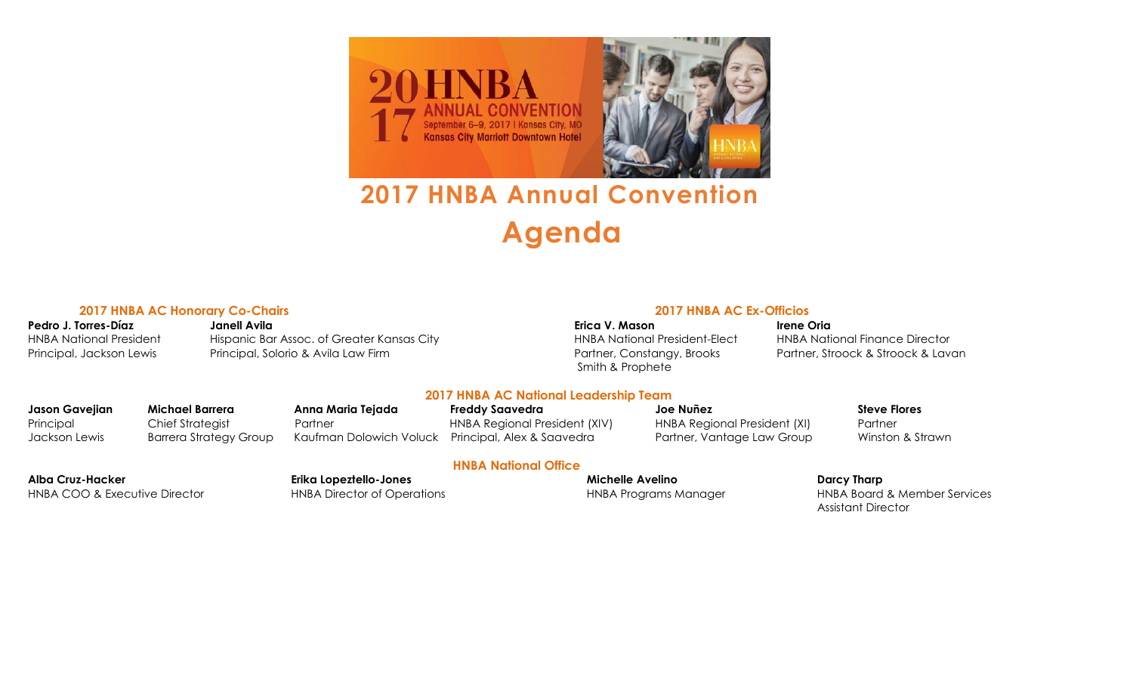

# **2017 HNBA Annual Convention Agenda**

### **2017 HNBA AC Honorary Co-Chairs 2017 HNBA AC Ex-Officios**

**Pedro J. Torres-Díaz Janell Avila Erica V. Mason Irene Oria** HNBA National President Hispanic Bar Assoc. of Greater Kansas City HNBA National President-Elect HNBA National Finance Director Principal, Jackson Lewis Principal, Solorio & Avila Law Firm Partner, Constangy, Brooks Partner, Stroock & Stroock & Lavan

Smith & Prophete

### **2017 HNBA AC National Leadership Team**

Principal Chief Strategist Partner HNBA Regional President (XIV) HNBA Regional President (XI) Partner Jackson Lewis Barrera Strategy Group Kaufman Dolowich Voluck Principal, Alex & Saavedra Partner, Vantage Law Group Winston & Strawn

**HNBA National Office**

**Jason Gavejian Michael Barrera Anna Maria Tejada Freddy Saavedra Joe Nuñez Steve Flores**

HNBA COO & Executive Director **HNBA Director of Operations** HNBA Programs Manager HNBA Board & Member Services

## **Alba Cruz-Hacker Erika Lopeztello-Jones Michelle Avelino Darcy Tharp**

Assistant Director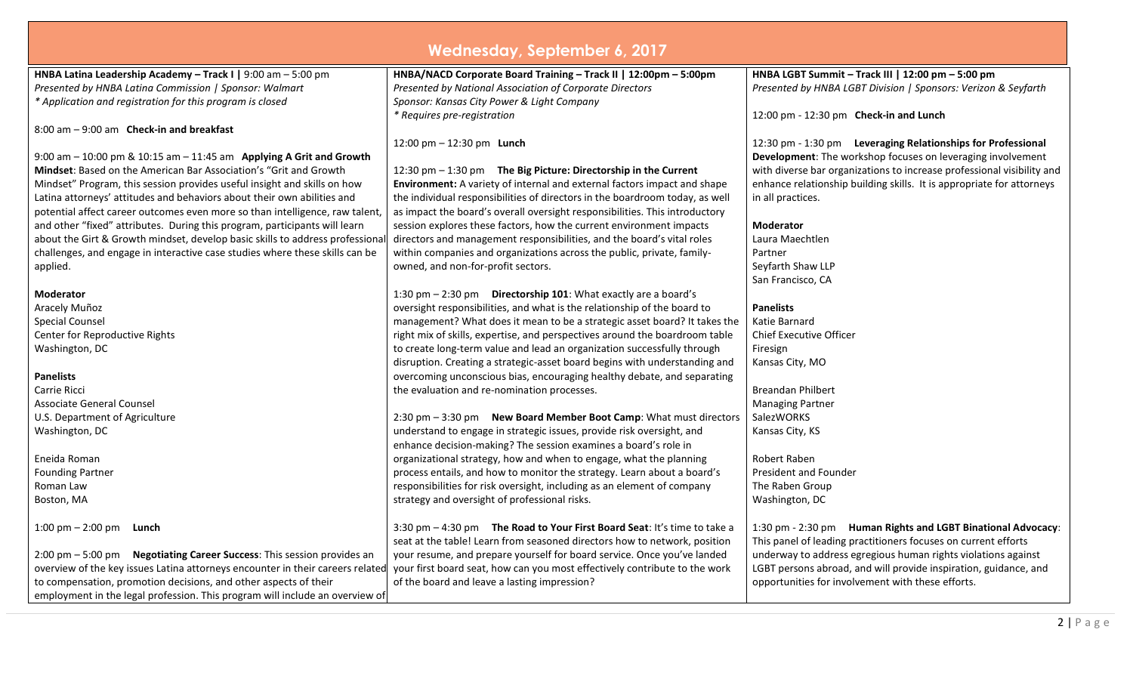| Wednesday, September 6, 2017                                                                                                                              |                                                                              |                                                                        |  |  |
|-----------------------------------------------------------------------------------------------------------------------------------------------------------|------------------------------------------------------------------------------|------------------------------------------------------------------------|--|--|
| HNBA Latina Leadership Academy - Track I   9:00 am - 5:00 pm                                                                                              | HNBA/NACD Corporate Board Training - Track II   12:00pm - 5:00pm             | HNBA LGBT Summit - Track III   12:00 pm - 5:00 pm                      |  |  |
| Presented by HNBA Latina Commission   Sponsor: Walmart                                                                                                    | Presented by National Association of Corporate Directors                     | Presented by HNBA LGBT Division   Sponsors: Verizon & Seyfarth         |  |  |
| * Application and registration for this program is closed                                                                                                 | Sponsor: Kansas City Power & Light Company                                   |                                                                        |  |  |
|                                                                                                                                                           | * Requires pre-registration                                                  | 12:00 pm - 12:30 pm Check-in and Lunch                                 |  |  |
| $8:00$ am $-9:00$ am Check-in and breakfast                                                                                                               |                                                                              |                                                                        |  |  |
|                                                                                                                                                           | 12:00 pm $-$ 12:30 pm <b>Lunch</b>                                           | 12:30 pm - 1:30 pm Leveraging Relationships for Professional           |  |  |
| 9:00 am $-$ 10:00 pm & 10:15 am $-$ 11:45 am Applying A Grit and Growth                                                                                   |                                                                              | Development: The workshop focuses on leveraging involvement            |  |  |
| <b>Mindset:</b> Based on the American Bar Association's "Grit and Growth                                                                                  | 12:30 pm - 1:30 pm The Big Picture: Directorship in the Current              | with diverse bar organizations to increase professional visibility and |  |  |
| Mindset" Program, this session provides useful insight and skills on how                                                                                  | Environment: A variety of internal and external factors impact and shape     | enhance relationship building skills. It is appropriate for attorneys  |  |  |
| Latina attorneys' attitudes and behaviors about their own abilities and                                                                                   | the individual responsibilities of directors in the boardroom today, as well | in all practices.                                                      |  |  |
| potential affect career outcomes even more so than intelligence, raw talent                                                                               | as impact the board's overall oversight responsibilities. This introductory  |                                                                        |  |  |
| and other "fixed" attributes. During this program, participants will learn                                                                                | session explores these factors, how the current environment impacts          | <b>Moderator</b>                                                       |  |  |
| about the Girt & Growth mindset, develop basic skills to address professiona                                                                              | directors and management responsibilities, and the board's vital roles       | Laura Maechtlen                                                        |  |  |
| challenges, and engage in interactive case studies where these skills can be                                                                              | within companies and organizations across the public, private, family-       | Partner                                                                |  |  |
| applied.                                                                                                                                                  | owned, and non-for-profit sectors.                                           | Seyfarth Shaw LLP                                                      |  |  |
|                                                                                                                                                           |                                                                              | San Francisco, CA                                                      |  |  |
| <b>Moderator</b>                                                                                                                                          | 1:30 pm - 2:30 pm Directorship 101: What exactly are a board's               |                                                                        |  |  |
| Aracely Muñoz                                                                                                                                             | oversight responsibilities, and what is the relationship of the board to     | <b>Panelists</b>                                                       |  |  |
| <b>Special Counsel</b>                                                                                                                                    | management? What does it mean to be a strategic asset board? It takes the    | Katie Barnard                                                          |  |  |
| Center for Reproductive Rights                                                                                                                            | right mix of skills, expertise, and perspectives around the boardroom table  | <b>Chief Executive Officer</b>                                         |  |  |
| Washington, DC                                                                                                                                            | to create long-term value and lead an organization successfully through      | Firesign                                                               |  |  |
|                                                                                                                                                           | disruption. Creating a strategic-asset board begins with understanding and   | Kansas City, MO                                                        |  |  |
| <b>Panelists</b>                                                                                                                                          | overcoming unconscious bias, encouraging healthy debate, and separating      |                                                                        |  |  |
| Carrie Ricci                                                                                                                                              | the evaluation and re-nomination processes.                                  | <b>Breandan Philbert</b>                                               |  |  |
| Associate General Counsel                                                                                                                                 |                                                                              | <b>Managing Partner</b>                                                |  |  |
| U.S. Department of Agriculture                                                                                                                            | 2:30 pm - 3:30 pm  New Board Member Boot Camp: What must directors           | SalezWORKS                                                             |  |  |
| Washington, DC                                                                                                                                            | understand to engage in strategic issues, provide risk oversight, and        | Kansas City, KS                                                        |  |  |
|                                                                                                                                                           | enhance decision-making? The session examines a board's role in              |                                                                        |  |  |
| Eneida Roman                                                                                                                                              | organizational strategy, how and when to engage, what the planning           | Robert Raben                                                           |  |  |
| <b>Founding Partner</b>                                                                                                                                   | process entails, and how to monitor the strategy. Learn about a board's      | President and Founder                                                  |  |  |
| Roman Law                                                                                                                                                 | responsibilities for risk oversight, including as an element of company      | The Raben Group                                                        |  |  |
| Boston, MA                                                                                                                                                | strategy and oversight of professional risks.                                | Washington, DC                                                         |  |  |
| 1:00 pm $-$ 2:00 pm <b>Lunch</b>                                                                                                                          | 3:30 pm - 4:30 pm The Road to Your First Board Seat: It's time to take a     | 1:30 pm - 2:30 pm Human Rights and LGBT Binational Advocacy:           |  |  |
|                                                                                                                                                           | seat at the table! Learn from seasoned directors how to network, position    | This panel of leading practitioners focuses on current efforts         |  |  |
| 2:00 pm - 5:00 pm  Negotiating Career Success: This session provides an                                                                                   | your resume, and prepare yourself for board service. Once you've landed      | underway to address egregious human rights violations against          |  |  |
| overview of the key issues Latina attorneys encounter in their careers related your first board seat, how can you most effectively contribute to the work |                                                                              | LGBT persons abroad, and will provide inspiration, guidance, and       |  |  |
| to compensation, promotion decisions, and other aspects of their                                                                                          | of the board and leave a lasting impression?                                 | opportunities for involvement with these efforts.                      |  |  |
| employment in the legal profession. This program will include an overview of                                                                              |                                                                              |                                                                        |  |  |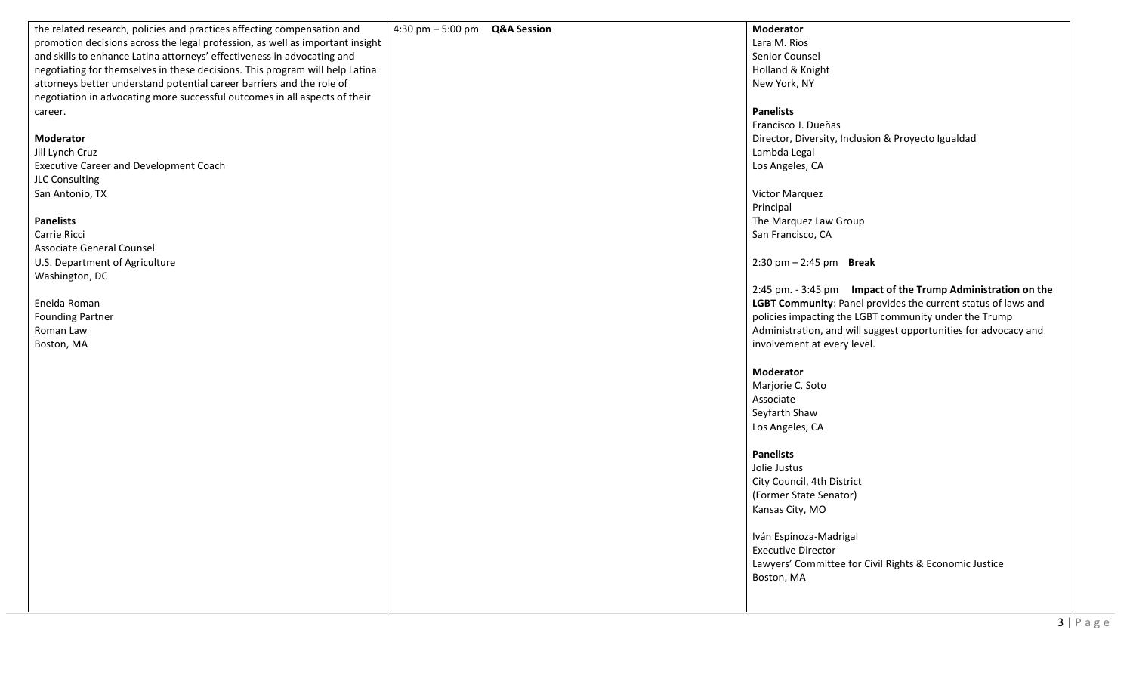| the related research, policies and practices affecting compensation and       | 4:30 pm $-$ 5:00 pm $Q&A$ Session | Moderator                                                       |
|-------------------------------------------------------------------------------|-----------------------------------|-----------------------------------------------------------------|
|                                                                               |                                   | Lara M. Rios                                                    |
| promotion decisions across the legal profession, as well as important insight |                                   |                                                                 |
| and skills to enhance Latina attorneys' effectiveness in advocating and       |                                   | Senior Counsel                                                  |
| negotiating for themselves in these decisions. This program will help Latina  |                                   | Holland & Knight                                                |
| attorneys better understand potential career barriers and the role of         |                                   | New York, NY                                                    |
| negotiation in advocating more successful outcomes in all aspects of their    |                                   |                                                                 |
| career.                                                                       |                                   | <b>Panelists</b>                                                |
|                                                                               |                                   | Francisco J. Dueñas                                             |
| <b>Moderator</b>                                                              |                                   | Director, Diversity, Inclusion & Proyecto Igualdad              |
| Jill Lynch Cruz                                                               |                                   | Lambda Legal                                                    |
| <b>Executive Career and Development Coach</b>                                 |                                   | Los Angeles, CA                                                 |
| JLC Consulting                                                                |                                   |                                                                 |
| San Antonio, TX                                                               |                                   | Victor Marquez                                                  |
|                                                                               |                                   |                                                                 |
|                                                                               |                                   | Principal                                                       |
| <b>Panelists</b>                                                              |                                   | The Marquez Law Group                                           |
| Carrie Ricci                                                                  |                                   | San Francisco, CA                                               |
| <b>Associate General Counsel</b>                                              |                                   |                                                                 |
| U.S. Department of Agriculture                                                |                                   | $2:30 \text{ pm} - 2:45 \text{ pm}$ Break                       |
| Washington, DC                                                                |                                   |                                                                 |
|                                                                               |                                   | 2:45 pm. - 3:45 pm Impact of the Trump Administration on the    |
| Eneida Roman                                                                  |                                   | LGBT Community: Panel provides the current status of laws and   |
| <b>Founding Partner</b>                                                       |                                   | policies impacting the LGBT community under the Trump           |
| Roman Law                                                                     |                                   | Administration, and will suggest opportunities for advocacy and |
| Boston, MA                                                                    |                                   | involvement at every level.                                     |
|                                                                               |                                   |                                                                 |
|                                                                               |                                   | <b>Moderator</b>                                                |
|                                                                               |                                   | Marjorie C. Soto                                                |
|                                                                               |                                   | Associate                                                       |
|                                                                               |                                   | Seyfarth Shaw                                                   |
|                                                                               |                                   |                                                                 |
|                                                                               |                                   | Los Angeles, CA                                                 |
|                                                                               |                                   | <b>Panelists</b>                                                |
|                                                                               |                                   | Jolie Justus                                                    |
|                                                                               |                                   |                                                                 |
|                                                                               |                                   | City Council, 4th District                                      |
|                                                                               |                                   | (Former State Senator)                                          |
|                                                                               |                                   | Kansas City, MO                                                 |
|                                                                               |                                   |                                                                 |
|                                                                               |                                   | Iván Espinoza-Madrigal                                          |
|                                                                               |                                   | <b>Executive Director</b>                                       |
|                                                                               |                                   | Lawyers' Committee for Civil Rights & Economic Justice          |
|                                                                               |                                   | Boston, MA                                                      |
|                                                                               |                                   |                                                                 |
|                                                                               |                                   |                                                                 |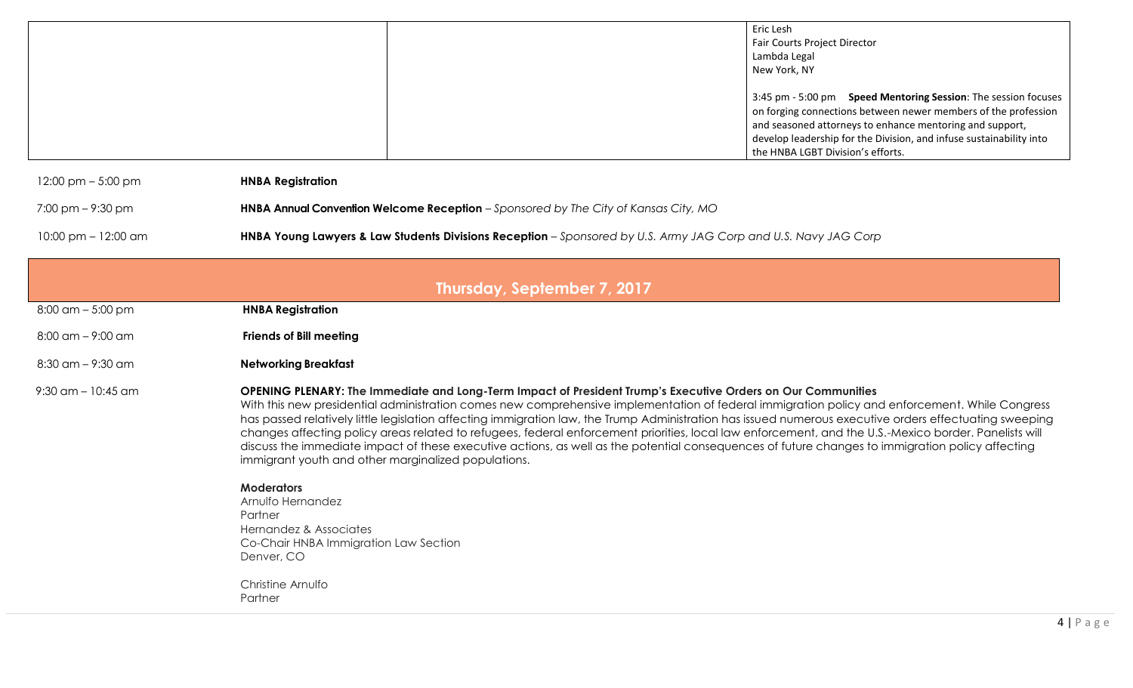| Eric Lesh                                                           |
|---------------------------------------------------------------------|
| <b>Fair Courts Project Director</b>                                 |
| Lambda Legal                                                        |
| New York, NY                                                        |
|                                                                     |
| 3:45 pm - 5:00 pm Speed Mentoring Session: The session focuses      |
| on forging connections between newer members of the profession      |
| and seasoned attorneys to enhance mentoring and support,            |
| develop leadership for the Division, and infuse sustainability into |
| the HNBA LGBT Division's efforts.                                   |

12:00 pm – 5:00 pm **HNBA Registration**

7:00 pm – 9:30 pm **HNBA Annual Convention Welcome Reception** – *Sponsored by The City of Kansas City, MO*

10:00 pm – 12:00 am **HNBA Young Lawyers & Law Students Divisions Reception** – *Sponsored by U.S. Army JAG Corp and U.S. Navy JAG Corp*

| Thursday, September 7, 2017 |                                                                                                                                                                                                                                                                                                                                                                                                                                                                                                                                                                                                                                                                                                                                                                                                                                                                                                                                                                     |  |  |
|-----------------------------|---------------------------------------------------------------------------------------------------------------------------------------------------------------------------------------------------------------------------------------------------------------------------------------------------------------------------------------------------------------------------------------------------------------------------------------------------------------------------------------------------------------------------------------------------------------------------------------------------------------------------------------------------------------------------------------------------------------------------------------------------------------------------------------------------------------------------------------------------------------------------------------------------------------------------------------------------------------------|--|--|
| $8:00$ am $-5:00$ pm        | <b>HNBA Registration</b>                                                                                                                                                                                                                                                                                                                                                                                                                                                                                                                                                                                                                                                                                                                                                                                                                                                                                                                                            |  |  |
| $8:00$ am $-$ 9:00 am       | <b>Friends of Bill meeting</b>                                                                                                                                                                                                                                                                                                                                                                                                                                                                                                                                                                                                                                                                                                                                                                                                                                                                                                                                      |  |  |
| $8:30$ am $-9:30$ am        | <b>Networking Breakfast</b>                                                                                                                                                                                                                                                                                                                                                                                                                                                                                                                                                                                                                                                                                                                                                                                                                                                                                                                                         |  |  |
| $9:30$ am – 10:45 am        | OPENING PLENARY: The Immediate and Long-Term Impact of President Trump's Executive Orders on Our Communities<br>With this new presidential administration comes new comprehensive implementation of federal immigration policy and enforcement. While Congress<br>has passed relatively little legislation affecting immigration law, the Trump Administration has issued numerous executive orders effectuating sweeping<br>changes affecting policy areas related to refugees, federal enforcement priorities, local law enforcement, and the U.S.-Mexico border. Panelists will<br>discuss the immediate impact of these executive actions, as well as the potential consequences of future changes to immigration policy affecting<br>immigrant youth and other marginalized populations.<br><b>Moderators</b><br>Arnulfo Hernandez<br>Partner<br>Hernandez & Associates<br>Co-Chair HNBA Immigration Law Section<br>Denver, CO<br>Christine Arnulfo<br>Partner |  |  |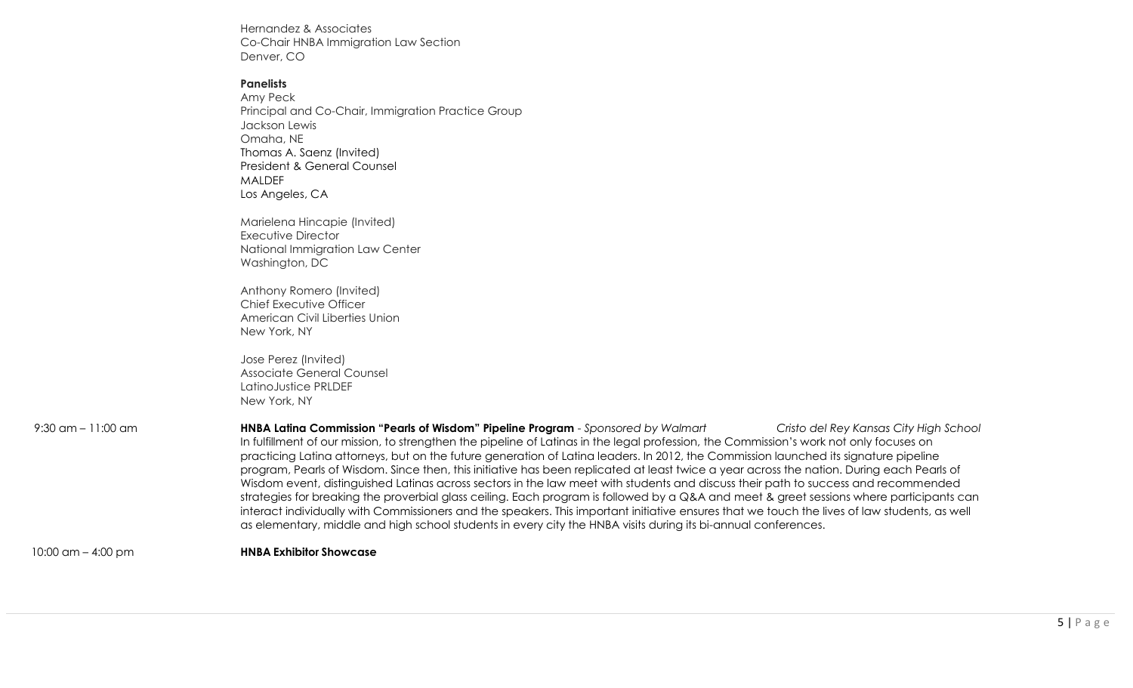Hernandez & Associates Co-Chair HNBA Immigration Law Section Denver, CO

### **Panelists**

Amy Peck Principal and Co-Chair, Immigration Practice Group Jackson Lewis Omaha, NE Thomas A. Saenz (Invited) President & General Counsel MALDEF Los Angeles, CA

Marielena Hincapie (Invited) Executive Director National Immigration Law Center Washington, DC

Anthony Romero (Invited) Chief Executive Officer American Civil Liberties Union New York, NY

Jose Perez (Invited) Associate General Counsel LatinoJustice PRLDEF New York, NY

| $9:30$ am $-11:00$ am | HNBA Latina Commission "Pearls of Wisdom" Pipeline Program - Sponsored by Walmart<br>Cristo del Rey Kansas City High School                   |
|-----------------------|-----------------------------------------------------------------------------------------------------------------------------------------------|
|                       | In fulfillment of our mission, to strengthen the pipeline of Latinas in the legal profession, the Commission's work not only focuses on       |
|                       | practicing Latina attorneys, but on the future generation of Latina leaders. In 2012, the Commission launched its signature pipeline          |
|                       | program, Pearls of Wisdom. Since then, this initiative has been replicated at least twice a year across the nation. During each Pearls of     |
|                       | Wisdom event, distinguished Latinas across sectors in the law meet with students and discuss their path to success and recommended            |
|                       | strategies for breaking the proverbial glass ceiling. Each program is followed by a Q&A and meet & greet sessions where participants can      |
|                       | interact individually with Commissioners and the speakers. This important initiative ensures that we touch the lives of law students, as well |
|                       | as elementary, middle and high school students in every city the HNBA visits during its bi-annual conferences.                                |
|                       |                                                                                                                                               |

10:00 am – 4:00 pm **HNBA Exhibitor Showcase**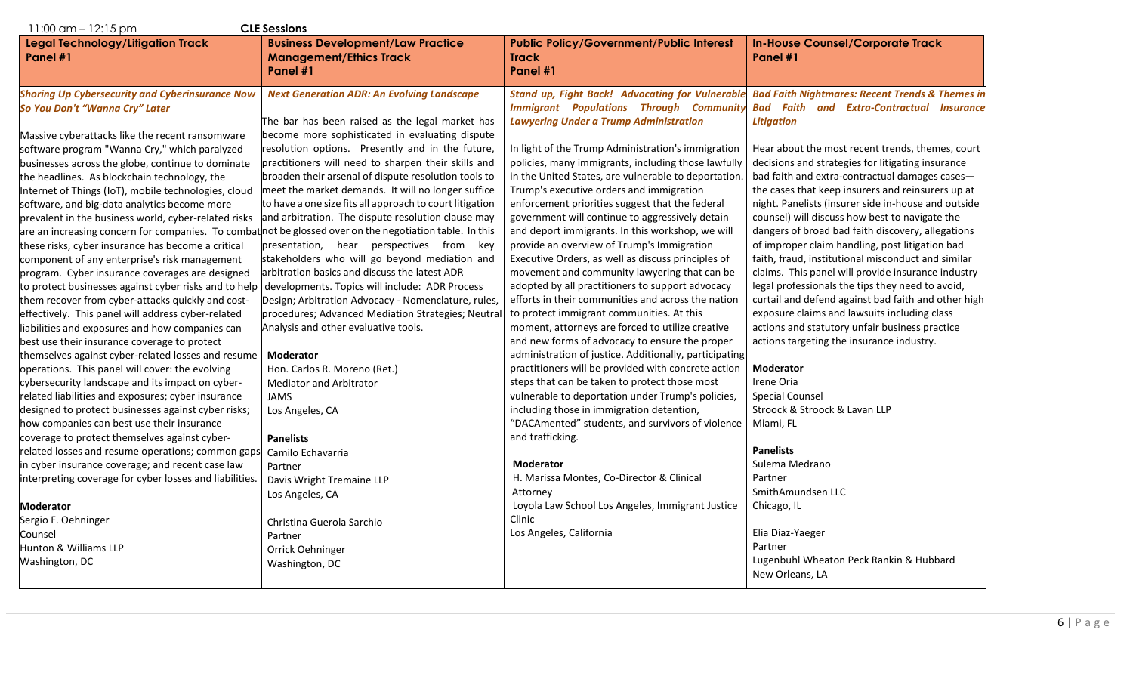| $11:00$ am $-12:15$ pm<br><b>CLE Sessions</b>                                                            |                                                                                                    |                                                                                                          |                                                                                                                |  |
|----------------------------------------------------------------------------------------------------------|----------------------------------------------------------------------------------------------------|----------------------------------------------------------------------------------------------------------|----------------------------------------------------------------------------------------------------------------|--|
| Legal Technology/Litigation Track<br>Panel #1                                                            | <b>Business Development/Law Practice</b><br><b>Management/Ethics Track</b><br>Panel #1             | <b>Public Policy/Government/Public Interest</b><br><b>Track</b><br>Panel #1                              | <b>In-House Counsel/Corporate Track</b><br>Panel #1                                                            |  |
| <b>Shoring Up Cybersecurity and Cyberinsurance Now</b><br>So You Don't "Wanna Cry" Later                 | <b>Next Generation ADR: An Evolving Landscape</b>                                                  | <b>Stand up, Fight Back! Advocating for Vulnerable</b><br><b>Immigrant Populations Through Community</b> | <b>Bad Faith Nightmares: Recent Trends &amp; Themes in</b><br><b>Bad Faith and Extra-Contractual Insurance</b> |  |
| Massive cyberattacks like the recent ransomware                                                          | The bar has been raised as the legal market has<br>become more sophisticated in evaluating dispute | <b>Lawyering Under a Trump Administration</b>                                                            | <b>Litigation</b>                                                                                              |  |
| software program "Wanna Cry," which paralyzed                                                            | resolution options. Presently and in the future,                                                   | In light of the Trump Administration's immigration                                                       | Hear about the most recent trends, themes, court                                                               |  |
| businesses across the globe, continue to dominate                                                        | practitioners will need to sharpen their skills and                                                | policies, many immigrants, including those lawfully                                                      | decisions and strategies for litigating insurance                                                              |  |
| the headlines. As blockchain technology, the                                                             | broaden their arsenal of dispute resolution tools to                                               | in the United States, are vulnerable to deportation                                                      | bad faith and extra-contractual damages cases-                                                                 |  |
| Internet of Things (IoT), mobile technologies, cloud                                                     | meet the market demands. It will no longer suffice                                                 | Trump's executive orders and immigration                                                                 | the cases that keep insurers and reinsurers up at                                                              |  |
| software, and big-data analytics become more                                                             | to have a one size fits all approach to court litigation                                           | enforcement priorities suggest that the federal                                                          | night. Panelists (insurer side in-house and outside                                                            |  |
| prevalent in the business world, cyber-related risks                                                     | and arbitration. The dispute resolution clause may                                                 | government will continue to aggressively detain                                                          | counsel) will discuss how best to navigate the                                                                 |  |
| are an increasing concern for companies. To combat not be glossed over on the negotiation table. In this |                                                                                                    | and deport immigrants. In this workshop, we will                                                         | dangers of broad bad faith discovery, allegations                                                              |  |
| these risks, cyber insurance has become a critical                                                       | presentation, hear perspectives from key                                                           | provide an overview of Trump's Immigration                                                               | of improper claim handling, post litigation bad                                                                |  |
| component of any enterprise's risk management                                                            | stakeholders who will go beyond mediation and                                                      | Executive Orders, as well as discuss principles of                                                       | faith, fraud, institutional misconduct and similar                                                             |  |
| program. Cyber insurance coverages are designed                                                          | arbitration basics and discuss the latest ADR                                                      | movement and community lawyering that can be                                                             | claims. This panel will provide insurance industry                                                             |  |
| to protect businesses against cyber risks and to help                                                    | developments. Topics will include: ADR Process                                                     | adopted by all practitioners to support advocacy                                                         | legal professionals the tips they need to avoid,                                                               |  |
| them recover from cyber-attacks quickly and cost-                                                        | Design; Arbitration Advocacy - Nomenclature, rules,                                                | efforts in their communities and across the nation                                                       | curtail and defend against bad faith and other high                                                            |  |
| effectively. This panel will address cyber-related                                                       | procedures; Advanced Mediation Strategies; Neutral                                                 | to protect immigrant communities. At this                                                                | exposure claims and lawsuits including class                                                                   |  |
| liabilities and exposures and how companies can                                                          | Analysis and other evaluative tools.                                                               | moment, attorneys are forced to utilize creative                                                         | actions and statutory unfair business practice                                                                 |  |
| best use their insurance coverage to protect                                                             |                                                                                                    | and new forms of advocacy to ensure the proper                                                           | actions targeting the insurance industry.                                                                      |  |
| themselves against cyber-related losses and resume                                                       | <b>Moderator</b>                                                                                   | administration of justice. Additionally, participating                                                   |                                                                                                                |  |
| operations. This panel will cover: the evolving                                                          | Hon. Carlos R. Moreno (Ret.)                                                                       | practitioners will be provided with concrete action                                                      | <b>Moderator</b>                                                                                               |  |
| cybersecurity landscape and its impact on cyber-                                                         | <b>Mediator and Arbitrator</b>                                                                     | steps that can be taken to protect those most                                                            | Irene Oria                                                                                                     |  |
| related liabilities and exposures; cyber insurance                                                       | <b>JAMS</b>                                                                                        | vulnerable to deportation under Trump's policies,                                                        | <b>Special Counsel</b>                                                                                         |  |
| designed to protect businesses against cyber risks;                                                      | Los Angeles, CA                                                                                    | including those in immigration detention,                                                                | Stroock & Stroock & Lavan LLP                                                                                  |  |
| how companies can best use their insurance                                                               |                                                                                                    | "DACAmented" students, and survivors of violence                                                         | Miami, FL                                                                                                      |  |
| coverage to protect themselves against cyber-                                                            | <b>Panelists</b>                                                                                   | and trafficking.                                                                                         |                                                                                                                |  |
| related losses and resume operations; common gaps                                                        | Camilo Echavarria                                                                                  |                                                                                                          | <b>Panelists</b>                                                                                               |  |
| in cyber insurance coverage; and recent case law                                                         | Partner                                                                                            | <b>Moderator</b>                                                                                         | Sulema Medrano                                                                                                 |  |
| interpreting coverage for cyber losses and liabilities.                                                  | Davis Wright Tremaine LLP                                                                          | H. Marissa Montes, Co-Director & Clinical                                                                | Partner                                                                                                        |  |
|                                                                                                          | Los Angeles, CA                                                                                    | Attorney                                                                                                 | SmithAmundsen LLC                                                                                              |  |
| <b>Moderator</b>                                                                                         |                                                                                                    | Loyola Law School Los Angeles, Immigrant Justice                                                         | Chicago, IL                                                                                                    |  |
| Sergio F. Oehninger                                                                                      | Christina Guerola Sarchio                                                                          | Clinic                                                                                                   |                                                                                                                |  |
| Counsel                                                                                                  | Partner                                                                                            | Los Angeles, California                                                                                  | Elia Diaz-Yaeger                                                                                               |  |
| Hunton & Williams LLP                                                                                    | Orrick Oehninger                                                                                   |                                                                                                          | Partner                                                                                                        |  |
| Washington, DC                                                                                           | Washington, DC                                                                                     |                                                                                                          | Lugenbuhl Wheaton Peck Rankin & Hubbard                                                                        |  |
|                                                                                                          |                                                                                                    |                                                                                                          | New Orleans, LA                                                                                                |  |
|                                                                                                          |                                                                                                    |                                                                                                          |                                                                                                                |  |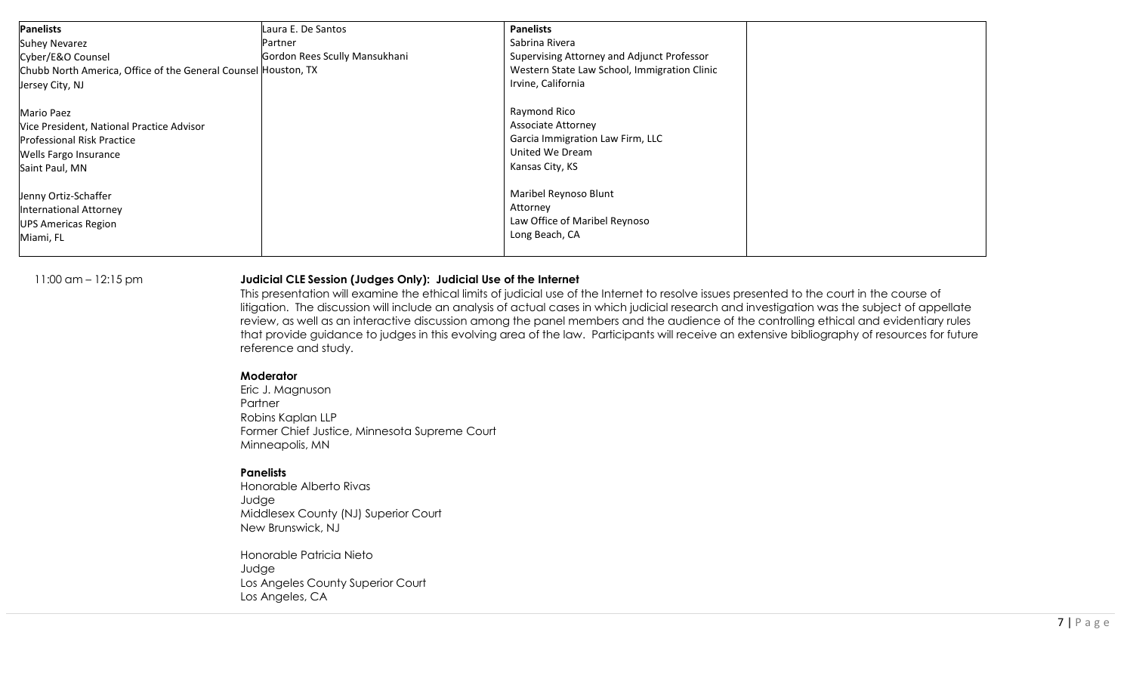| <b>Panelists</b>                                               | Laura E. De Santos            | <b>Panelists</b>                             |  |
|----------------------------------------------------------------|-------------------------------|----------------------------------------------|--|
| <b>Suhey Nevarez</b>                                           | Partner                       | Sabrina Rivera                               |  |
| Cyber/E&O Counsel                                              | Gordon Rees Scully Mansukhani | Supervising Attorney and Adjunct Professor   |  |
| Chubb North America, Office of the General Counsel Houston, TX |                               | Western State Law School, Immigration Clinic |  |
| Jersey City, NJ                                                |                               | Irvine, California                           |  |
| Mario Paez                                                     |                               | Raymond Rico                                 |  |
| Vice President, National Practice Advisor                      |                               | <b>Associate Attorney</b>                    |  |
| <b>Professional Risk Practice</b>                              |                               | Garcia Immigration Law Firm, LLC             |  |
| Wells Fargo Insurance                                          |                               | United We Dream                              |  |
| Saint Paul, MN                                                 |                               | Kansas City, KS                              |  |
| Jenny Ortiz-Schaffer                                           |                               | Maribel Reynoso Blunt                        |  |
| <b>International Attorney</b>                                  |                               | Attorney                                     |  |
| <b>UPS Americas Region</b>                                     |                               | Law Office of Maribel Reynoso                |  |
| Miami, FL                                                      |                               | Long Beach, CA                               |  |
|                                                                |                               |                                              |  |

### 11:00 am – 12:15 pm **Judicial CLE Session (Judges Only): Judicial Use of the Internet**

This presentation will examine the ethical limits of judicial use of the Internet to resolve issues presented to the court in the course of litigation. The discussion will include an analysis of actual cases in which judicial research and investigation was the subject of appellate review, as well as an interactive discussion among the panel members and the audience of the controlling ethical and evidentiary rules that provide guidance to judges in this evolving area of the law. Participants will receive an extensive bibliography of resources for future reference and study.

#### **Moderator**

Eric J. Magnuson Partner Robins Kaplan LLP Former Chief Justice, Minnesota Supreme Court Minneapolis, MN

### **Panelists**

Honorable Alberto Rivas Judge Middlesex County (NJ) Superior Court New Brunswick, NJ

Honorable Patricia Nieto Judge Los Angeles County Superior Court Los Angeles, CA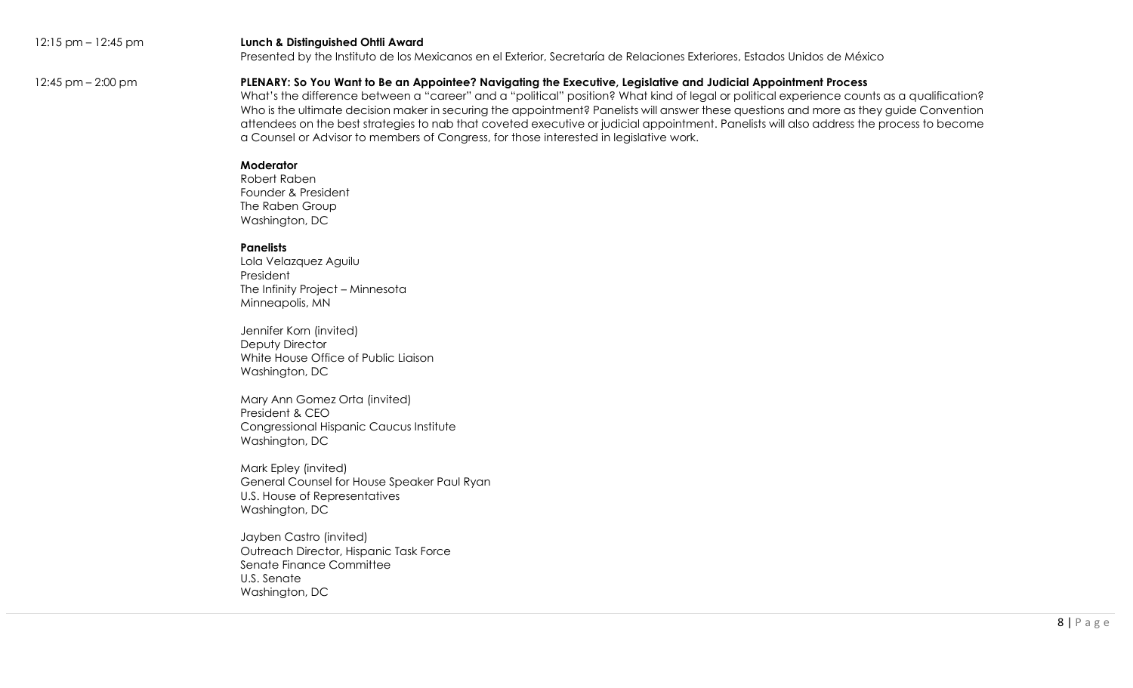#### 12:15 pm – 12:45 pm **Lunch & Distinguished Ohtli Award**

Presented by the Instituto de los Mexicanos en el Exterior, Secretaría de Relaciones Exteriores, Estados Unidos de México

### 12:45 pm – 2:00 pm **PLENARY: So You Want to Be an Appointee? Navigating the Executive, Legislative and Judicial Appointment Process**

What's the difference between a "career" and a "political" position? What kind of legal or political experience counts as a qualification? Who is the ultimate decision maker in securing the appointment? Panelists will answer these questions and more as they guide Convention attendees on the best strategies to nab that coveted executive or judicial appointment. Panelists will also address the process to become a Counsel or Advisor to members of Congress, for those interested in legislative work.

#### **Moderator**

Robert Raben Founder & President The Raben Group Washington, DC

### **Panelists**

Lola Velazquez Aguilu President The Infinity Project – Minnesota Minneapolis, MN

Jennifer Korn (invited) Deputy Director White House Office of Public Liaison Washington, DC

Mary Ann Gomez Orta (invited) President & CEO Congressional Hispanic Caucus Institute Washington, DC

Mark Epley (invited) General Counsel for House Speaker Paul Ryan U.S. House of Representatives Washington, DC

Jayben Castro (invited) Outreach Director, Hispanic Task Force Senate Finance Committee U.S. Senate Washington, DC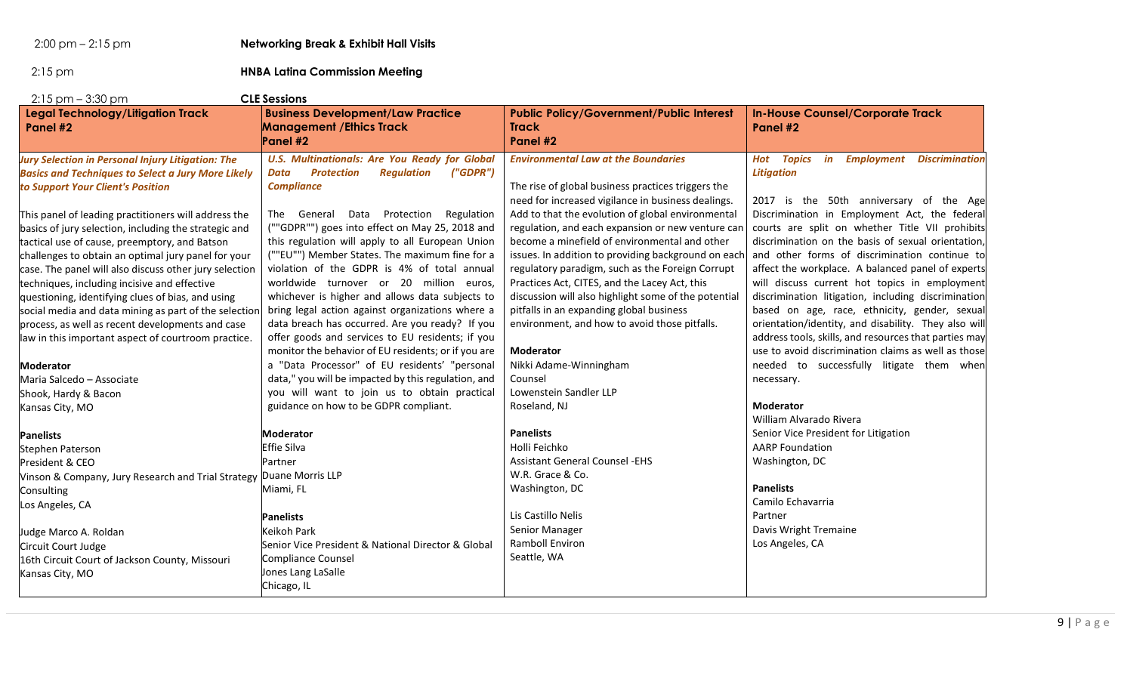2:00 pm – 2:15 pm **Networking Break & Exhibit Hall Visits**

2:15 pm **HNBA Latina Commission Meeting**

| $2:15$ pm $-3:30$ pm<br><b>CLE Sessions</b>                         |                                                                                          |                                                                             |                                                                       |  |
|---------------------------------------------------------------------|------------------------------------------------------------------------------------------|-----------------------------------------------------------------------------|-----------------------------------------------------------------------|--|
| <b>Legal Technology/Litigation Track</b><br>Panel #2                | <b>Business Development/Law Practice</b><br><b>Management / Ethics Track</b><br>Panel #2 | <b>Public Policy/Government/Public Interest</b><br><b>Track</b><br>Panel #2 | <b>In-House Counsel/Corporate Track</b><br>Panel #2                   |  |
| <b>Jury Selection in Personal Injury Litigation: The</b>            | <b>U.S. Multinationals: Are You Ready for Global</b>                                     | <b>Environmental Law at the Boundaries</b>                                  | <b>Hot Topics</b><br>in<br><b>Employment</b><br><b>Discrimination</b> |  |
| <b>Basics and Techniques to Select a Jury More Likely</b>           | ("GDPR")<br><b>Protection</b><br><b>Regulation</b><br>Data                               |                                                                             | <b>Litigation</b>                                                     |  |
| to Support Your Client's Position                                   | <b>Compliance</b>                                                                        | The rise of global business practices triggers the                          |                                                                       |  |
|                                                                     |                                                                                          | need for increased vigilance in business dealings.                          | 2017 is the 50th anniversary of the Age                               |  |
| This panel of leading practitioners will address the                | The General Data Protection<br>Regulation                                                | Add to that the evolution of global environmental                           | Discrimination in Employment Act, the federal                         |  |
| basics of jury selection, including the strategic and               | (""GDPR"") goes into effect on May 25, 2018 and                                          | regulation, and each expansion or new venture can                           | courts are split on whether Title VII prohibits                       |  |
| tactical use of cause, preemptory, and Batson                       | this regulation will apply to all European Union                                         | become a minefield of environmental and other                               | discrimination on the basis of sexual orientation,                    |  |
| challenges to obtain an optimal jury panel for your                 | (""EU"") Member States. The maximum fine for a                                           | issues. In addition to providing background on each                         | and other forms of discrimination continue to                         |  |
| case. The panel will also discuss other jury selection              | violation of the GDPR is 4% of total annual                                              | regulatory paradigm, such as the Foreign Corrupt                            | affect the workplace. A balanced panel of experts                     |  |
| techniques, including incisive and effective                        | worldwide turnover or 20 million euros,                                                  | Practices Act, CITES, and the Lacey Act, this                               | will discuss current hot topics in employment                         |  |
| questioning, identifying clues of bias, and using                   | whichever is higher and allows data subjects to                                          | discussion will also highlight some of the potential                        | discrimination litigation, including discrimination                   |  |
| social media and data mining as part of the selection               | bring legal action against organizations where a                                         | pitfalls in an expanding global business                                    | based on age, race, ethnicity, gender, sexual                         |  |
| process, as well as recent developments and case                    | data breach has occurred. Are you ready? If you                                          | environment, and how to avoid those pitfalls.                               | orientation/identity, and disability. They also will                  |  |
| law in this important aspect of courtroom practice.                 | offer goods and services to EU residents; if you                                         |                                                                             | address tools, skills, and resources that parties may                 |  |
|                                                                     | monitor the behavior of EU residents; or if you are                                      | <b>Moderator</b>                                                            | use to avoid discrimination claims as well as those                   |  |
| <b>Moderator</b>                                                    | a "Data Processor" of EU residents' "personal                                            | Nikki Adame-Winningham                                                      | needed to successfully litigate them when                             |  |
| Maria Salcedo - Associate                                           | data," you will be impacted by this regulation, and                                      | Counsel                                                                     | necessary.                                                            |  |
| Shook, Hardy & Bacon                                                | you will want to join us to obtain practical                                             | Lowenstein Sandler LLP                                                      |                                                                       |  |
| Kansas City, MO                                                     | guidance on how to be GDPR compliant.                                                    | Roseland, NJ                                                                | <b>Moderator</b>                                                      |  |
|                                                                     |                                                                                          |                                                                             | William Alvarado Rivera                                               |  |
| <b>Panelists</b>                                                    | <b>Moderator</b>                                                                         | <b>Panelists</b>                                                            | Senior Vice President for Litigation                                  |  |
| Stephen Paterson                                                    | <b>Effie Silva</b>                                                                       | Holli Feichko                                                               | <b>AARP Foundation</b>                                                |  |
| President & CEO                                                     | Partner                                                                                  | <b>Assistant General Counsel -EHS</b>                                       | Washington, DC                                                        |  |
| Vinson & Company, Jury Research and Trial Strategy Duane Morris LLP |                                                                                          | W.R. Grace & Co.                                                            |                                                                       |  |
| Consulting                                                          | Miami, FL                                                                                | Washington, DC                                                              | <b>Panelists</b>                                                      |  |
| Los Angeles, CA                                                     |                                                                                          |                                                                             | Camilo Echavarria                                                     |  |
|                                                                     | <b>Panelists</b>                                                                         | Lis Castillo Nelis                                                          | Partner                                                               |  |
| Judge Marco A. Roldan                                               | Keikoh Park                                                                              | Senior Manager                                                              | Davis Wright Tremaine                                                 |  |
| Circuit Court Judge                                                 | Senior Vice President & National Director & Global                                       | Ramboll Environ                                                             | Los Angeles, CA                                                       |  |
| 16th Circuit Court of Jackson County, Missouri                      | Compliance Counsel                                                                       | Seattle, WA                                                                 |                                                                       |  |
| Kansas City, MO                                                     | Jones Lang LaSalle                                                                       |                                                                             |                                                                       |  |
|                                                                     | Chicago, IL                                                                              |                                                                             |                                                                       |  |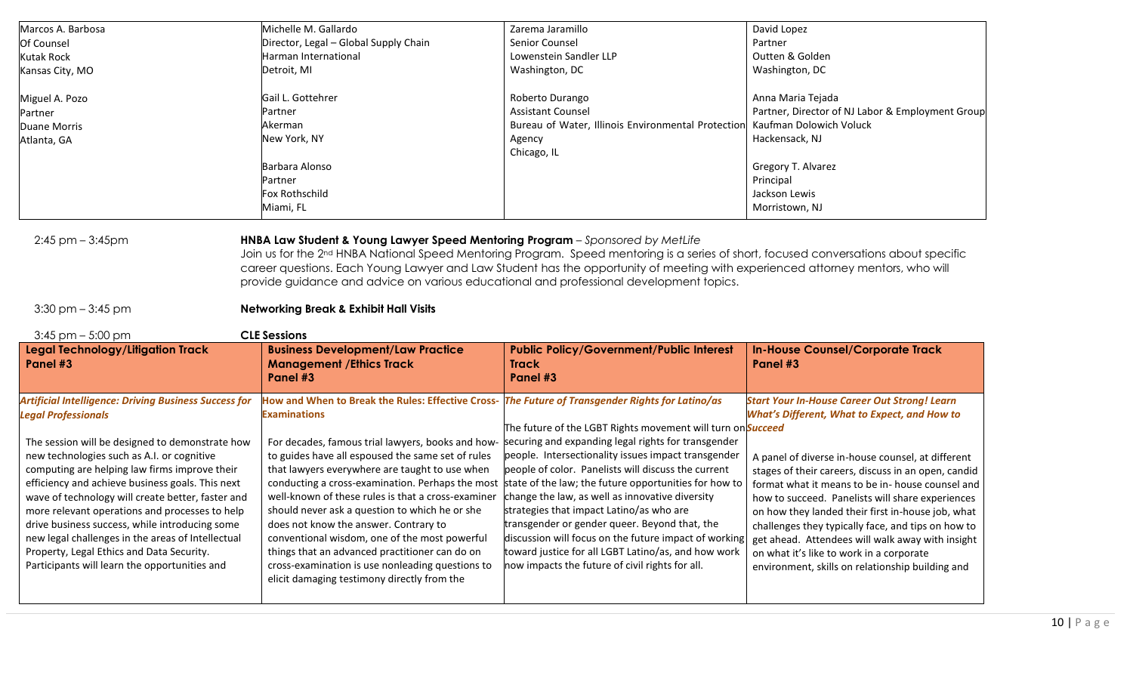| Marcos A. Barbosa                                                                             |                                                                                                                      |                                                                                                                    |                                                     |
|-----------------------------------------------------------------------------------------------|----------------------------------------------------------------------------------------------------------------------|--------------------------------------------------------------------------------------------------------------------|-----------------------------------------------------|
|                                                                                               | Michelle M. Gallardo                                                                                                 | Zarema Jaramillo                                                                                                   | David Lopez                                         |
| Of Counsel                                                                                    | Director, Legal - Global Supply Chain                                                                                | Senior Counsel                                                                                                     | Partner                                             |
| <b>Kutak Rock</b>                                                                             | Harman International                                                                                                 | Lowenstein Sandler LLP                                                                                             | Outten & Golden                                     |
| Kansas City, MO                                                                               | Detroit, MI                                                                                                          | Washington, DC                                                                                                     | Washington, DC                                      |
| Miguel A. Pozo                                                                                | Gail L. Gottehrer                                                                                                    | Roberto Durango                                                                                                    | Anna Maria Tejada                                   |
| Partner                                                                                       | Partner                                                                                                              | <b>Assistant Counsel</b>                                                                                           | Partner, Director of NJ Labor & Employment Group    |
| <b>Duane Morris</b>                                                                           | Akerman                                                                                                              | Bureau of Water, Illinois Environmental Protection                                                                 | Kaufman Dolowich Voluck                             |
| Atlanta, GA                                                                                   | New York, NY                                                                                                         | Agency                                                                                                             | Hackensack, NJ                                      |
|                                                                                               |                                                                                                                      | Chicago, IL                                                                                                        |                                                     |
|                                                                                               | Barbara Alonso                                                                                                       |                                                                                                                    | Gregory T. Alvarez                                  |
|                                                                                               | Partner                                                                                                              |                                                                                                                    | Principal                                           |
|                                                                                               | Fox Rothschild                                                                                                       |                                                                                                                    | Jackson Lewis                                       |
|                                                                                               | Miami, FL                                                                                                            |                                                                                                                    | Morristown, NJ                                      |
|                                                                                               |                                                                                                                      |                                                                                                                    |                                                     |
| $3:30$ pm $-3:45$ pm<br>$3:45$ pm $-5:00$ pm<br>Legal Technology/Litigation Track<br>Panel #3 | <b>Networking Break &amp; Exhibit Hall Visits</b><br><b>CLE Sessions</b><br><b>Business Development/Law Practice</b> | <b>Public Policy/Government/Public Interest</b><br><b>Track</b>                                                    | <b>In-House Counsel/Corporate Track</b><br>Panel #3 |
|                                                                                               | <b>Management / Ethics Track</b><br>Panel #3                                                                         | Panel #3                                                                                                           |                                                     |
| <b>Artificial Intelligence: Driving Business Success for</b>                                  | How and When to Break the Rules: Effective Cross- The Future of Transgender Rights for Latino/as                     |                                                                                                                    | <b>Start Your In-House Career Out Strong! Learn</b> |
| <b>Legal Professionals</b>                                                                    | <b>Examinations</b>                                                                                                  |                                                                                                                    | <b>What's Different, What to Expect, and How to</b> |
| The session will be designed to demonstrate how                                               | For decades, famous trial lawyers, books and how-                                                                    | The future of the LGBT Rights movement will turn on Succeed<br>securing and expanding legal rights for transgender |                                                     |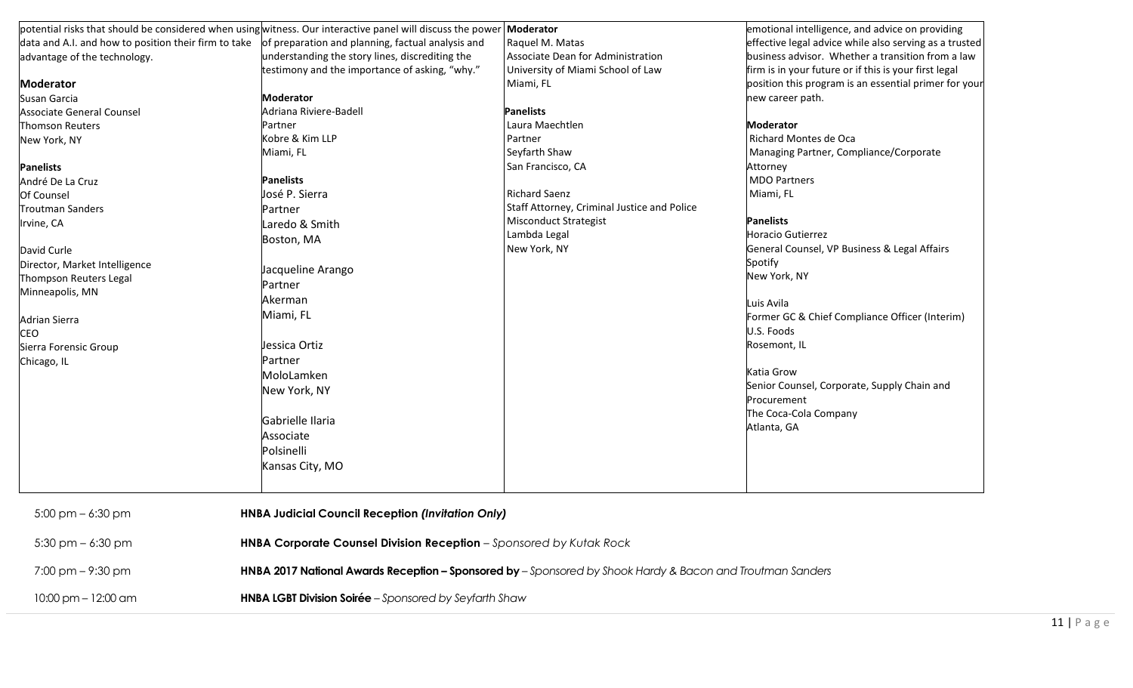|                                                      | potential risks that should be considered when using witness. Our interactive panel will discuss the power | Moderator                                   | emotional intelligence, and advice on providing        |
|------------------------------------------------------|------------------------------------------------------------------------------------------------------------|---------------------------------------------|--------------------------------------------------------|
| data and A.I. and how to position their firm to take | of preparation and planning, factual analysis and                                                          | Raquel M. Matas                             | effective legal advice while also serving as a trusted |
| advantage of the technology.                         | understanding the story lines, discrediting the                                                            | Associate Dean for Administration           | business advisor. Whether a transition from a law      |
|                                                      | testimony and the importance of asking, "why."                                                             | University of Miami School of Law           | firm is in your future or if this is your first legal  |
| <b>Moderator</b>                                     |                                                                                                            | Miami, FL                                   | position this program is an essential primer for your  |
| Susan Garcia                                         | <b>Moderator</b>                                                                                           |                                             | new career path.                                       |
| <b>Associate General Counsel</b>                     | Adriana Riviere-Badell                                                                                     | <b>Panelists</b>                            |                                                        |
| Thomson Reuters                                      | Partner                                                                                                    | Laura Maechtlen                             | <b>Moderator</b>                                       |
| New York, NY                                         | Kobre & Kim LLP                                                                                            | Partner                                     | Richard Montes de Oca                                  |
|                                                      | Miami, FL                                                                                                  | Seyfarth Shaw                               | Managing Partner, Compliance/Corporate                 |
| <b>Panelists</b>                                     |                                                                                                            | San Francisco, CA                           | Attorney                                               |
| André De La Cruz                                     | <b>Panelists</b>                                                                                           |                                             | <b>MDO Partners</b>                                    |
| <b>Of Counsel</b>                                    | José P. Sierra                                                                                             | <b>Richard Saenz</b>                        | Miami, FL                                              |
| <b>Troutman Sanders</b>                              | Partner                                                                                                    | Staff Attorney, Criminal Justice and Police |                                                        |
| Irvine, CA                                           | Laredo & Smith                                                                                             | <b>Misconduct Strategist</b>                | <b>Panelists</b>                                       |
|                                                      | Boston, MA                                                                                                 | Lambda Legal                                | Horacio Gutierrez                                      |
| David Curle                                          |                                                                                                            | New York, NY                                | General Counsel, VP Business & Legal Affairs           |
| Director, Market Intelligence                        | Jacqueline Arango                                                                                          |                                             | Spotify                                                |
| Thompson Reuters Legal                               |                                                                                                            |                                             | New York, NY                                           |
| Minneapolis, MN                                      | Partner                                                                                                    |                                             |                                                        |
|                                                      | Akerman                                                                                                    |                                             | Luis Avila                                             |
| Adrian Sierra                                        | Miami, FL                                                                                                  |                                             | Former GC & Chief Compliance Officer (Interim)         |
| <b>CEO</b>                                           |                                                                                                            |                                             | U.S. Foods                                             |
| Sierra Forensic Group                                | Jessica Ortiz                                                                                              |                                             | Rosemont, IL                                           |
| Chicago, IL                                          | Partner                                                                                                    |                                             |                                                        |
|                                                      | MoloLamken                                                                                                 |                                             | Katia Grow                                             |
|                                                      | New York, NY                                                                                               |                                             | Senior Counsel, Corporate, Supply Chain and            |
|                                                      |                                                                                                            |                                             | Procurement                                            |
|                                                      | Gabrielle Ilaria                                                                                           |                                             | The Coca-Cola Company                                  |
|                                                      | Associate                                                                                                  |                                             | Atlanta, GA                                            |
|                                                      |                                                                                                            |                                             |                                                        |
|                                                      | Polsinelli                                                                                                 |                                             |                                                        |
|                                                      | Kansas City, MO                                                                                            |                                             |                                                        |
| $5:00 \text{ pm} - 6:30 \text{ pm}$                  | <b>HNBA Judicial Council Reception (Invitation Only)</b>                                                   |                                             |                                                        |
| $5:30$ pm $-6:30$ pm                                 | HNBA Corporate Counsel Division Reception - Sponsored by Kutak Rock                                        |                                             |                                                        |
| $7:00 \text{ pm} - 9:30 \text{ pm}$                  | HNBA 2017 National Awards Reception - Sponsored by - Sponsored by Shook Hardy & Bacon and Troutman Sanders |                                             |                                                        |
| $10:00$ pm $- 12:00$ am                              | HNBA LGBT Division Soirée - Sponsored by Seyfarth Shaw                                                     |                                             |                                                        |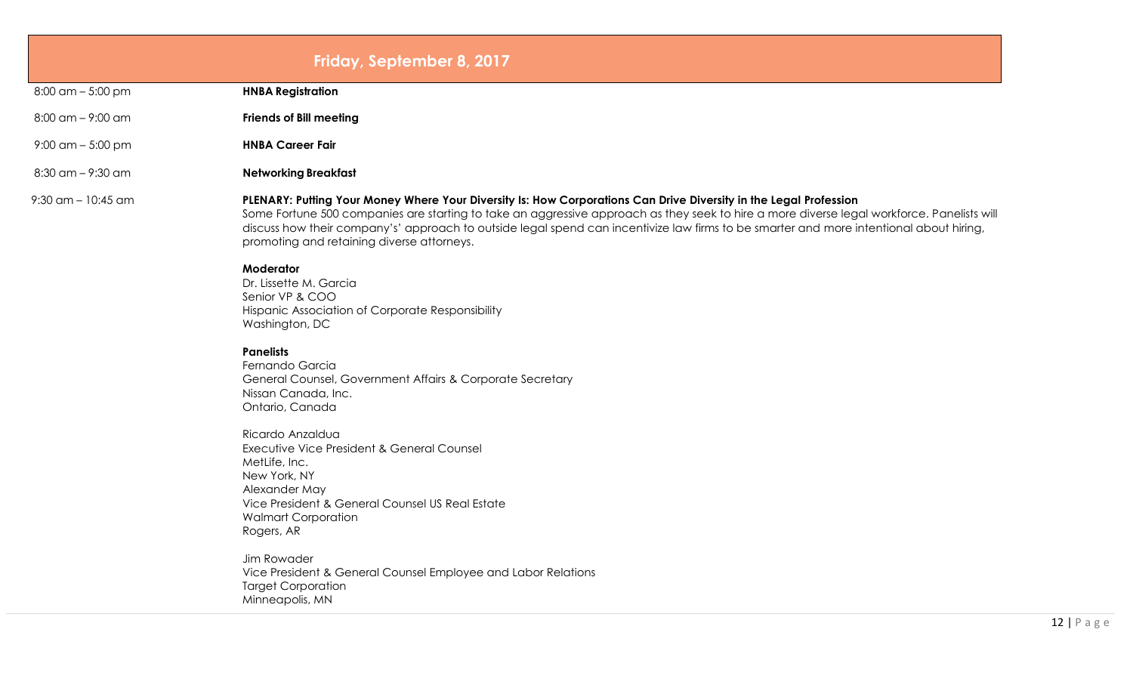## **Friday, September 8, 2017**

8:00 am – 5:00 pm **HNBA Registration**

- 8:00 am 9:00 am **Friends of Bill meeting**
- 9:00 am 5:00 pm **HNBA Career Fair**

8:30 am – 9:30 am **Networking Breakfast**

#### 9:30 am – 10:45 am **PLENARY: Putting Your Money Where Your Diversity Is: How Corporations Can Drive Diversity in the Legal Profession**

Some Fortune 500 companies are starting to take an aggressive approach as they seek to hire a more diverse legal workforce. Panelists will discuss how their company's' approach to outside legal spend can incentivize law firms to be smarter and more intentional about hiring, promoting and retaining diverse attorneys.

#### **Moderator**

Dr. Lissette M. Garcia Senior VP & COO Hispanic Association of Corporate Responsibility Washington, DC

#### **Panelists**

Fernando Garcia General Counsel, Government Affairs & Corporate Secretary Nissan Canada, Inc. Ontario, Canada

Ricardo Anzaldua Executive Vice President & General Counsel MetLife, Inc. New York, NY Alexander May Vice President & General Counsel US Real Estate Walmart Corporation Rogers, AR

Jim Rowader Vice President & General Counsel Employee and Labor Relations Target Corporation Minneapolis, MN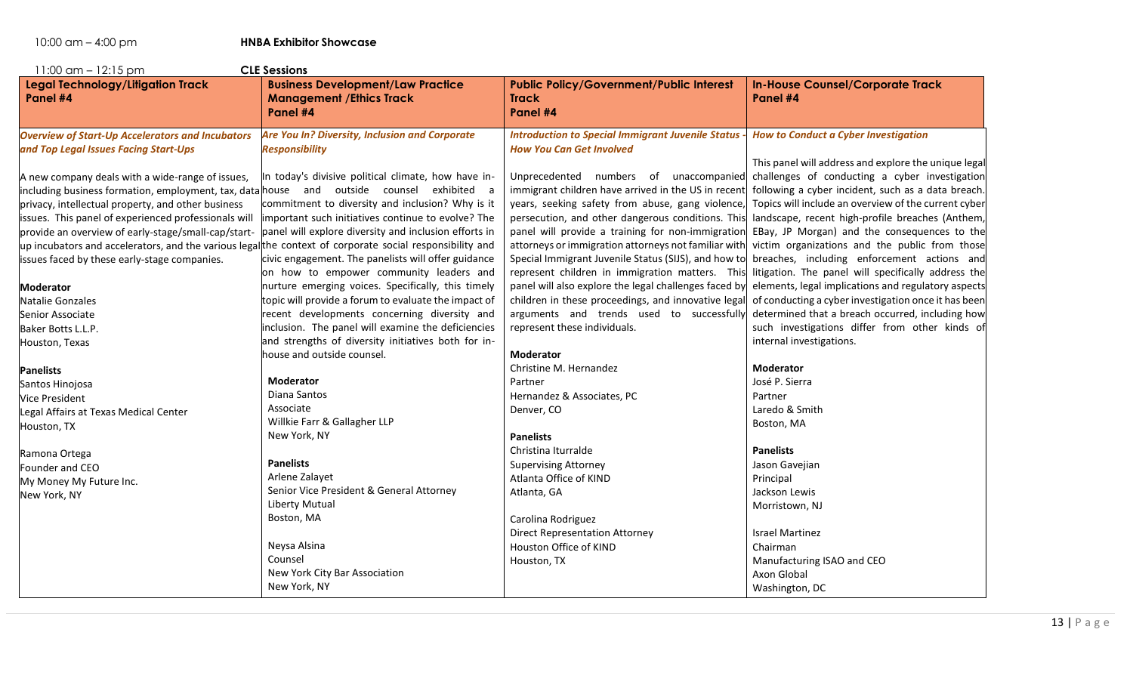| $11:00$ am $-12:15$ pm<br><b>CLE Sessions</b>                                                                                                                                                                                                                                                                                                    |                                                                                                                                                                                                                                                                                                                                                                                                                                                                                                                                                                                                                                                                                                                                                                                                             |                                                                                                                                                                                                                                                                                                                                                                                                                                                                     |                                                                                                                                                                                                                                                                                                                                                                                                                                                                                                                                                                                                                                                                                                                                                                                                                                                                            |  |
|--------------------------------------------------------------------------------------------------------------------------------------------------------------------------------------------------------------------------------------------------------------------------------------------------------------------------------------------------|-------------------------------------------------------------------------------------------------------------------------------------------------------------------------------------------------------------------------------------------------------------------------------------------------------------------------------------------------------------------------------------------------------------------------------------------------------------------------------------------------------------------------------------------------------------------------------------------------------------------------------------------------------------------------------------------------------------------------------------------------------------------------------------------------------------|---------------------------------------------------------------------------------------------------------------------------------------------------------------------------------------------------------------------------------------------------------------------------------------------------------------------------------------------------------------------------------------------------------------------------------------------------------------------|----------------------------------------------------------------------------------------------------------------------------------------------------------------------------------------------------------------------------------------------------------------------------------------------------------------------------------------------------------------------------------------------------------------------------------------------------------------------------------------------------------------------------------------------------------------------------------------------------------------------------------------------------------------------------------------------------------------------------------------------------------------------------------------------------------------------------------------------------------------------------|--|
| <b>Legal Technology/Litigation Track</b><br>Panel #4                                                                                                                                                                                                                                                                                             | <b>Business Development/Law Practice</b><br><b>Management / Ethics Track</b><br>Panel #4                                                                                                                                                                                                                                                                                                                                                                                                                                                                                                                                                                                                                                                                                                                    | <b>Public Policy/Government/Public Interest</b><br><b>Track</b><br>Panel #4                                                                                                                                                                                                                                                                                                                                                                                         | <b>In-House Counsel/Corporate Track</b><br>Panel #4                                                                                                                                                                                                                                                                                                                                                                                                                                                                                                                                                                                                                                                                                                                                                                                                                        |  |
| <b>Overview of Start-Up Accelerators and Incubators</b><br>and Top Legal Issues Facing Start-Ups                                                                                                                                                                                                                                                 | Are You In? Diversity, Inclusion and Corporate<br><b>Responsibility</b>                                                                                                                                                                                                                                                                                                                                                                                                                                                                                                                                                                                                                                                                                                                                     | <b>Introduction to Special Immigrant Juvenile Status -</b><br><b>How You Can Get Involved</b>                                                                                                                                                                                                                                                                                                                                                                       | <b>How to Conduct a Cyber Investigation</b>                                                                                                                                                                                                                                                                                                                                                                                                                                                                                                                                                                                                                                                                                                                                                                                                                                |  |
| A new company deals with a wide-range of issues,<br>privacy, intellectual property, and other business<br>issues. This panel of experienced professionals will<br>provide an overview of early-stage/small-cap/start-<br>issues faced by these early-stage companies.<br>Moderator<br>Natalie Gonzales<br>Senior Associate<br>Baker Botts L.L.P. | In today's divisive political climate, how have in-<br>including business formation, employment, tax, data house and outside counsel exhibited a<br>commitment to diversity and inclusion? Why is it<br>important such initiatives continue to evolve? The<br>panel will explore diversity and inclusion efforts in<br>up incubators and accelerators, and the various legalthe context of corporate social responsibility and<br>civic engagement. The panelists will offer guidance<br>on how to empower community leaders and<br>nurture emerging voices. Specifically, this timely<br>topic will provide a forum to evaluate the impact of<br>recent developments concerning diversity and<br>inclusion. The panel will examine the deficiencies<br>and strengths of diversity initiatives both for in- | immigrant children have arrived in the US in recent following a cyber incident, such as a data breach.<br>panel will provide a training for non-immigration<br>Special Immigrant Juvenile Status (SIJS), and how to<br>represent children in immigration matters. This<br>panel will also explore the legal challenges faced by<br>children in these proceedings, and innovative legal<br>arguments and trends used to successfully<br>represent these individuals. | This panel will address and explore the unique legal<br>Unprecedented numbers of unaccompanied challenges of conducting a cyber investigation<br>years, seeking safety from abuse, gang violence, Topics will include an overview of the current cyber<br>persecution, and other dangerous conditions. This landscape, recent high-profile breaches (Anthem,<br>EBay, JP Morgan) and the consequences to the<br>attorneys or immigration attorneys not familiar with victim organizations and the public from those<br>breaches, including enforcement actions and<br>litigation. The panel will specifically address the<br>elements, legal implications and regulatory aspects<br>of conducting a cyber investigation once it has been<br>determined that a breach occurred, including how<br>such investigations differ from other kinds of<br>internal investigations. |  |
| Houston, Texas                                                                                                                                                                                                                                                                                                                                   | house and outside counsel.                                                                                                                                                                                                                                                                                                                                                                                                                                                                                                                                                                                                                                                                                                                                                                                  | <b>Moderator</b>                                                                                                                                                                                                                                                                                                                                                                                                                                                    |                                                                                                                                                                                                                                                                                                                                                                                                                                                                                                                                                                                                                                                                                                                                                                                                                                                                            |  |
| Panelists                                                                                                                                                                                                                                                                                                                                        |                                                                                                                                                                                                                                                                                                                                                                                                                                                                                                                                                                                                                                                                                                                                                                                                             | Christine M. Hernandez                                                                                                                                                                                                                                                                                                                                                                                                                                              | <b>Moderator</b>                                                                                                                                                                                                                                                                                                                                                                                                                                                                                                                                                                                                                                                                                                                                                                                                                                                           |  |
| Santos Hinojosa                                                                                                                                                                                                                                                                                                                                  | <b>Moderator</b>                                                                                                                                                                                                                                                                                                                                                                                                                                                                                                                                                                                                                                                                                                                                                                                            | Partner                                                                                                                                                                                                                                                                                                                                                                                                                                                             | José P. Sierra                                                                                                                                                                                                                                                                                                                                                                                                                                                                                                                                                                                                                                                                                                                                                                                                                                                             |  |
| <b>Vice President</b>                                                                                                                                                                                                                                                                                                                            | Diana Santos                                                                                                                                                                                                                                                                                                                                                                                                                                                                                                                                                                                                                                                                                                                                                                                                | Hernandez & Associates, PC                                                                                                                                                                                                                                                                                                                                                                                                                                          | Partner                                                                                                                                                                                                                                                                                                                                                                                                                                                                                                                                                                                                                                                                                                                                                                                                                                                                    |  |
| Legal Affairs at Texas Medical Center                                                                                                                                                                                                                                                                                                            | Associate                                                                                                                                                                                                                                                                                                                                                                                                                                                                                                                                                                                                                                                                                                                                                                                                   | Denver, CO                                                                                                                                                                                                                                                                                                                                                                                                                                                          | Laredo & Smith                                                                                                                                                                                                                                                                                                                                                                                                                                                                                                                                                                                                                                                                                                                                                                                                                                                             |  |
| Houston, TX                                                                                                                                                                                                                                                                                                                                      | Willkie Farr & Gallagher LLP                                                                                                                                                                                                                                                                                                                                                                                                                                                                                                                                                                                                                                                                                                                                                                                |                                                                                                                                                                                                                                                                                                                                                                                                                                                                     | Boston, MA                                                                                                                                                                                                                                                                                                                                                                                                                                                                                                                                                                                                                                                                                                                                                                                                                                                                 |  |
|                                                                                                                                                                                                                                                                                                                                                  | New York, NY                                                                                                                                                                                                                                                                                                                                                                                                                                                                                                                                                                                                                                                                                                                                                                                                | <b>Panelists</b>                                                                                                                                                                                                                                                                                                                                                                                                                                                    |                                                                                                                                                                                                                                                                                                                                                                                                                                                                                                                                                                                                                                                                                                                                                                                                                                                                            |  |
| Ramona Ortega                                                                                                                                                                                                                                                                                                                                    |                                                                                                                                                                                                                                                                                                                                                                                                                                                                                                                                                                                                                                                                                                                                                                                                             | Christina Iturralde                                                                                                                                                                                                                                                                                                                                                                                                                                                 | <b>Panelists</b>                                                                                                                                                                                                                                                                                                                                                                                                                                                                                                                                                                                                                                                                                                                                                                                                                                                           |  |
| Founder and CEO                                                                                                                                                                                                                                                                                                                                  | <b>Panelists</b>                                                                                                                                                                                                                                                                                                                                                                                                                                                                                                                                                                                                                                                                                                                                                                                            | <b>Supervising Attorney</b>                                                                                                                                                                                                                                                                                                                                                                                                                                         | Jason Gavejian                                                                                                                                                                                                                                                                                                                                                                                                                                                                                                                                                                                                                                                                                                                                                                                                                                                             |  |
| My Money My Future Inc.                                                                                                                                                                                                                                                                                                                          | Arlene Zalayet                                                                                                                                                                                                                                                                                                                                                                                                                                                                                                                                                                                                                                                                                                                                                                                              | Atlanta Office of KIND                                                                                                                                                                                                                                                                                                                                                                                                                                              | Principal                                                                                                                                                                                                                                                                                                                                                                                                                                                                                                                                                                                                                                                                                                                                                                                                                                                                  |  |
| New York, NY                                                                                                                                                                                                                                                                                                                                     | Senior Vice President & General Attorney                                                                                                                                                                                                                                                                                                                                                                                                                                                                                                                                                                                                                                                                                                                                                                    | Atlanta, GA                                                                                                                                                                                                                                                                                                                                                                                                                                                         | Jackson Lewis                                                                                                                                                                                                                                                                                                                                                                                                                                                                                                                                                                                                                                                                                                                                                                                                                                                              |  |
|                                                                                                                                                                                                                                                                                                                                                  | <b>Liberty Mutual</b>                                                                                                                                                                                                                                                                                                                                                                                                                                                                                                                                                                                                                                                                                                                                                                                       |                                                                                                                                                                                                                                                                                                                                                                                                                                                                     | Morristown, NJ                                                                                                                                                                                                                                                                                                                                                                                                                                                                                                                                                                                                                                                                                                                                                                                                                                                             |  |
|                                                                                                                                                                                                                                                                                                                                                  | Boston, MA                                                                                                                                                                                                                                                                                                                                                                                                                                                                                                                                                                                                                                                                                                                                                                                                  | Carolina Rodriguez                                                                                                                                                                                                                                                                                                                                                                                                                                                  |                                                                                                                                                                                                                                                                                                                                                                                                                                                                                                                                                                                                                                                                                                                                                                                                                                                                            |  |
|                                                                                                                                                                                                                                                                                                                                                  |                                                                                                                                                                                                                                                                                                                                                                                                                                                                                                                                                                                                                                                                                                                                                                                                             | <b>Direct Representation Attorney</b>                                                                                                                                                                                                                                                                                                                                                                                                                               | <b>Israel Martinez</b>                                                                                                                                                                                                                                                                                                                                                                                                                                                                                                                                                                                                                                                                                                                                                                                                                                                     |  |
|                                                                                                                                                                                                                                                                                                                                                  | Neysa Alsina                                                                                                                                                                                                                                                                                                                                                                                                                                                                                                                                                                                                                                                                                                                                                                                                | Houston Office of KIND                                                                                                                                                                                                                                                                                                                                                                                                                                              | Chairman                                                                                                                                                                                                                                                                                                                                                                                                                                                                                                                                                                                                                                                                                                                                                                                                                                                                   |  |
|                                                                                                                                                                                                                                                                                                                                                  | Counsel                                                                                                                                                                                                                                                                                                                                                                                                                                                                                                                                                                                                                                                                                                                                                                                                     | Houston, TX                                                                                                                                                                                                                                                                                                                                                                                                                                                         | Manufacturing ISAO and CEO                                                                                                                                                                                                                                                                                                                                                                                                                                                                                                                                                                                                                                                                                                                                                                                                                                                 |  |
|                                                                                                                                                                                                                                                                                                                                                  | New York City Bar Association                                                                                                                                                                                                                                                                                                                                                                                                                                                                                                                                                                                                                                                                                                                                                                               |                                                                                                                                                                                                                                                                                                                                                                                                                                                                     | Axon Global                                                                                                                                                                                                                                                                                                                                                                                                                                                                                                                                                                                                                                                                                                                                                                                                                                                                |  |
|                                                                                                                                                                                                                                                                                                                                                  | New York, NY                                                                                                                                                                                                                                                                                                                                                                                                                                                                                                                                                                                                                                                                                                                                                                                                |                                                                                                                                                                                                                                                                                                                                                                                                                                                                     | Washington, DC                                                                                                                                                                                                                                                                                                                                                                                                                                                                                                                                                                                                                                                                                                                                                                                                                                                             |  |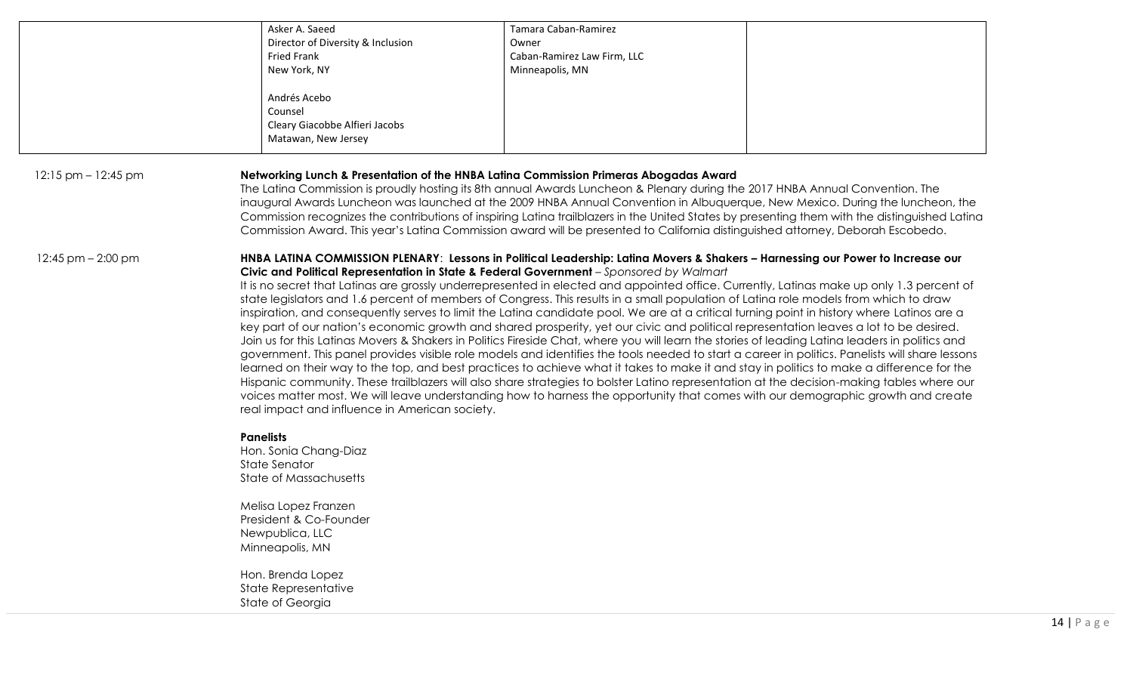|                        | Asker A. Saeed                                                                                                                                                                                                                                                                                                                                                                                                                                                                                                                                                                                                                                                                                                                                                                                                                                                                                                                                                                                                                                                                                                                                                                                                                                                                                                                                                                                                                                                                                                                                                                                  | Tamara Caban-Ramirez                                                                                                                                                                                                   |                                                                                                                                                                                                                                                                                                                                                                                                                     |
|------------------------|-------------------------------------------------------------------------------------------------------------------------------------------------------------------------------------------------------------------------------------------------------------------------------------------------------------------------------------------------------------------------------------------------------------------------------------------------------------------------------------------------------------------------------------------------------------------------------------------------------------------------------------------------------------------------------------------------------------------------------------------------------------------------------------------------------------------------------------------------------------------------------------------------------------------------------------------------------------------------------------------------------------------------------------------------------------------------------------------------------------------------------------------------------------------------------------------------------------------------------------------------------------------------------------------------------------------------------------------------------------------------------------------------------------------------------------------------------------------------------------------------------------------------------------------------------------------------------------------------|------------------------------------------------------------------------------------------------------------------------------------------------------------------------------------------------------------------------|---------------------------------------------------------------------------------------------------------------------------------------------------------------------------------------------------------------------------------------------------------------------------------------------------------------------------------------------------------------------------------------------------------------------|
|                        |                                                                                                                                                                                                                                                                                                                                                                                                                                                                                                                                                                                                                                                                                                                                                                                                                                                                                                                                                                                                                                                                                                                                                                                                                                                                                                                                                                                                                                                                                                                                                                                                 |                                                                                                                                                                                                                        |                                                                                                                                                                                                                                                                                                                                                                                                                     |
|                        | Director of Diversity & Inclusion                                                                                                                                                                                                                                                                                                                                                                                                                                                                                                                                                                                                                                                                                                                                                                                                                                                                                                                                                                                                                                                                                                                                                                                                                                                                                                                                                                                                                                                                                                                                                               | Owner                                                                                                                                                                                                                  |                                                                                                                                                                                                                                                                                                                                                                                                                     |
|                        | Fried Frank                                                                                                                                                                                                                                                                                                                                                                                                                                                                                                                                                                                                                                                                                                                                                                                                                                                                                                                                                                                                                                                                                                                                                                                                                                                                                                                                                                                                                                                                                                                                                                                     | Caban-Ramirez Law Firm, LLC                                                                                                                                                                                            |                                                                                                                                                                                                                                                                                                                                                                                                                     |
|                        | New York, NY                                                                                                                                                                                                                                                                                                                                                                                                                                                                                                                                                                                                                                                                                                                                                                                                                                                                                                                                                                                                                                                                                                                                                                                                                                                                                                                                                                                                                                                                                                                                                                                    | Minneapolis, MN                                                                                                                                                                                                        |                                                                                                                                                                                                                                                                                                                                                                                                                     |
|                        |                                                                                                                                                                                                                                                                                                                                                                                                                                                                                                                                                                                                                                                                                                                                                                                                                                                                                                                                                                                                                                                                                                                                                                                                                                                                                                                                                                                                                                                                                                                                                                                                 |                                                                                                                                                                                                                        |                                                                                                                                                                                                                                                                                                                                                                                                                     |
|                        | Andrés Acebo                                                                                                                                                                                                                                                                                                                                                                                                                                                                                                                                                                                                                                                                                                                                                                                                                                                                                                                                                                                                                                                                                                                                                                                                                                                                                                                                                                                                                                                                                                                                                                                    |                                                                                                                                                                                                                        |                                                                                                                                                                                                                                                                                                                                                                                                                     |
|                        |                                                                                                                                                                                                                                                                                                                                                                                                                                                                                                                                                                                                                                                                                                                                                                                                                                                                                                                                                                                                                                                                                                                                                                                                                                                                                                                                                                                                                                                                                                                                                                                                 |                                                                                                                                                                                                                        |                                                                                                                                                                                                                                                                                                                                                                                                                     |
|                        | Counsel                                                                                                                                                                                                                                                                                                                                                                                                                                                                                                                                                                                                                                                                                                                                                                                                                                                                                                                                                                                                                                                                                                                                                                                                                                                                                                                                                                                                                                                                                                                                                                                         |                                                                                                                                                                                                                        |                                                                                                                                                                                                                                                                                                                                                                                                                     |
|                        | Cleary Giacobbe Alfieri Jacobs                                                                                                                                                                                                                                                                                                                                                                                                                                                                                                                                                                                                                                                                                                                                                                                                                                                                                                                                                                                                                                                                                                                                                                                                                                                                                                                                                                                                                                                                                                                                                                  |                                                                                                                                                                                                                        |                                                                                                                                                                                                                                                                                                                                                                                                                     |
|                        | Matawan, New Jersey                                                                                                                                                                                                                                                                                                                                                                                                                                                                                                                                                                                                                                                                                                                                                                                                                                                                                                                                                                                                                                                                                                                                                                                                                                                                                                                                                                                                                                                                                                                                                                             |                                                                                                                                                                                                                        |                                                                                                                                                                                                                                                                                                                                                                                                                     |
|                        |                                                                                                                                                                                                                                                                                                                                                                                                                                                                                                                                                                                                                                                                                                                                                                                                                                                                                                                                                                                                                                                                                                                                                                                                                                                                                                                                                                                                                                                                                                                                                                                                 |                                                                                                                                                                                                                        |                                                                                                                                                                                                                                                                                                                                                                                                                     |
| $12:15$ pm $-12:45$ pm |                                                                                                                                                                                                                                                                                                                                                                                                                                                                                                                                                                                                                                                                                                                                                                                                                                                                                                                                                                                                                                                                                                                                                                                                                                                                                                                                                                                                                                                                                                                                                                                                 | Networking Lunch & Presentation of the HNBA Latina Commission Primeras Abogadas Award<br>The Latina Commission is proudly hosting its 8th annual Awards Luncheon & Plenary during the 2017 HNBA Annual Convention. The | inaugural Awards Luncheon was launched at the 2009 HNBA Annual Convention in Albuquerque, New Mexico. During the luncheon, the<br>Commission recognizes the contributions of inspiring Latina trailblazers in the United States by presenting them with the distinguished Latina<br>Commission Award. This year's Latina Commission award will be presented to California distinguished attorney, Deborah Escobedo. |
| $12:45$ pm $-2:00$ pm  | HNBA LATINA COMMISSION PLENARY: Lessons in Political Leadership: Latina Movers & Shakers - Harnessing our Power to Increase our<br>Civic and Political Representation in State & Federal Government - Sponsored by Walmart<br>It is no secret that Latinas are grossly underrepresented in elected and appointed office. Currently, Latinas make up only 1.3 percent of<br>state legislators and 1.6 percent of members of Congress. This results in a small population of Latina role models from which to draw<br>inspiration, and consequently serves to limit the Latina candidate pool. We are at a critical turning point in history where Latinos are a<br>key part of our nation's economic growth and shared prosperity, yet our civic and political representation leaves a lot to be desired.<br>Join us for this Latinas Movers & Shakers in Politics Fireside Chat, where you will learn the stories of leading Latina leaders in politics and<br>government. This panel provides visible role models and identifies the tools needed to start a career in politics. Panelists will share lessons<br>learned on their way to the top, and best practices to achieve what it takes to make it and stay in politics to make a difference for the<br>Hispanic community. These trailblazers will also share strategies to bolster Latino representation at the decision-making tables where our<br>voices matter most. We will leave understanding how to harness the opportunity that comes with our demographic growth and create<br>real impact and influence in American society. |                                                                                                                                                                                                                        |                                                                                                                                                                                                                                                                                                                                                                                                                     |
|                        | <b>Panelists</b>                                                                                                                                                                                                                                                                                                                                                                                                                                                                                                                                                                                                                                                                                                                                                                                                                                                                                                                                                                                                                                                                                                                                                                                                                                                                                                                                                                                                                                                                                                                                                                                |                                                                                                                                                                                                                        |                                                                                                                                                                                                                                                                                                                                                                                                                     |
|                        | Hon. Sonia Chang-Diaz                                                                                                                                                                                                                                                                                                                                                                                                                                                                                                                                                                                                                                                                                                                                                                                                                                                                                                                                                                                                                                                                                                                                                                                                                                                                                                                                                                                                                                                                                                                                                                           |                                                                                                                                                                                                                        |                                                                                                                                                                                                                                                                                                                                                                                                                     |
|                        |                                                                                                                                                                                                                                                                                                                                                                                                                                                                                                                                                                                                                                                                                                                                                                                                                                                                                                                                                                                                                                                                                                                                                                                                                                                                                                                                                                                                                                                                                                                                                                                                 |                                                                                                                                                                                                                        |                                                                                                                                                                                                                                                                                                                                                                                                                     |
|                        | <b>State Senator</b>                                                                                                                                                                                                                                                                                                                                                                                                                                                                                                                                                                                                                                                                                                                                                                                                                                                                                                                                                                                                                                                                                                                                                                                                                                                                                                                                                                                                                                                                                                                                                                            |                                                                                                                                                                                                                        |                                                                                                                                                                                                                                                                                                                                                                                                                     |
|                        | <b>State of Massachusetts</b>                                                                                                                                                                                                                                                                                                                                                                                                                                                                                                                                                                                                                                                                                                                                                                                                                                                                                                                                                                                                                                                                                                                                                                                                                                                                                                                                                                                                                                                                                                                                                                   |                                                                                                                                                                                                                        |                                                                                                                                                                                                                                                                                                                                                                                                                     |
|                        | Melisa Lopez Franzen                                                                                                                                                                                                                                                                                                                                                                                                                                                                                                                                                                                                                                                                                                                                                                                                                                                                                                                                                                                                                                                                                                                                                                                                                                                                                                                                                                                                                                                                                                                                                                            |                                                                                                                                                                                                                        |                                                                                                                                                                                                                                                                                                                                                                                                                     |
|                        | President & Co-Founder                                                                                                                                                                                                                                                                                                                                                                                                                                                                                                                                                                                                                                                                                                                                                                                                                                                                                                                                                                                                                                                                                                                                                                                                                                                                                                                                                                                                                                                                                                                                                                          |                                                                                                                                                                                                                        |                                                                                                                                                                                                                                                                                                                                                                                                                     |
|                        | Newpublica, LLC                                                                                                                                                                                                                                                                                                                                                                                                                                                                                                                                                                                                                                                                                                                                                                                                                                                                                                                                                                                                                                                                                                                                                                                                                                                                                                                                                                                                                                                                                                                                                                                 |                                                                                                                                                                                                                        |                                                                                                                                                                                                                                                                                                                                                                                                                     |
|                        |                                                                                                                                                                                                                                                                                                                                                                                                                                                                                                                                                                                                                                                                                                                                                                                                                                                                                                                                                                                                                                                                                                                                                                                                                                                                                                                                                                                                                                                                                                                                                                                                 |                                                                                                                                                                                                                        |                                                                                                                                                                                                                                                                                                                                                                                                                     |
|                        | Minneapolis, MN                                                                                                                                                                                                                                                                                                                                                                                                                                                                                                                                                                                                                                                                                                                                                                                                                                                                                                                                                                                                                                                                                                                                                                                                                                                                                                                                                                                                                                                                                                                                                                                 |                                                                                                                                                                                                                        |                                                                                                                                                                                                                                                                                                                                                                                                                     |
|                        | Hon. Brenda Lopez                                                                                                                                                                                                                                                                                                                                                                                                                                                                                                                                                                                                                                                                                                                                                                                                                                                                                                                                                                                                                                                                                                                                                                                                                                                                                                                                                                                                                                                                                                                                                                               |                                                                                                                                                                                                                        |                                                                                                                                                                                                                                                                                                                                                                                                                     |
|                        | State Representative                                                                                                                                                                                                                                                                                                                                                                                                                                                                                                                                                                                                                                                                                                                                                                                                                                                                                                                                                                                                                                                                                                                                                                                                                                                                                                                                                                                                                                                                                                                                                                            |                                                                                                                                                                                                                        |                                                                                                                                                                                                                                                                                                                                                                                                                     |
|                        | State of Georgia                                                                                                                                                                                                                                                                                                                                                                                                                                                                                                                                                                                                                                                                                                                                                                                                                                                                                                                                                                                                                                                                                                                                                                                                                                                                                                                                                                                                                                                                                                                                                                                |                                                                                                                                                                                                                        |                                                                                                                                                                                                                                                                                                                                                                                                                     |
|                        |                                                                                                                                                                                                                                                                                                                                                                                                                                                                                                                                                                                                                                                                                                                                                                                                                                                                                                                                                                                                                                                                                                                                                                                                                                                                                                                                                                                                                                                                                                                                                                                                 |                                                                                                                                                                                                                        |                                                                                                                                                                                                                                                                                                                                                                                                                     |
|                        |                                                                                                                                                                                                                                                                                                                                                                                                                                                                                                                                                                                                                                                                                                                                                                                                                                                                                                                                                                                                                                                                                                                                                                                                                                                                                                                                                                                                                                                                                                                                                                                                 |                                                                                                                                                                                                                        |                                                                                                                                                                                                                                                                                                                                                                                                                     |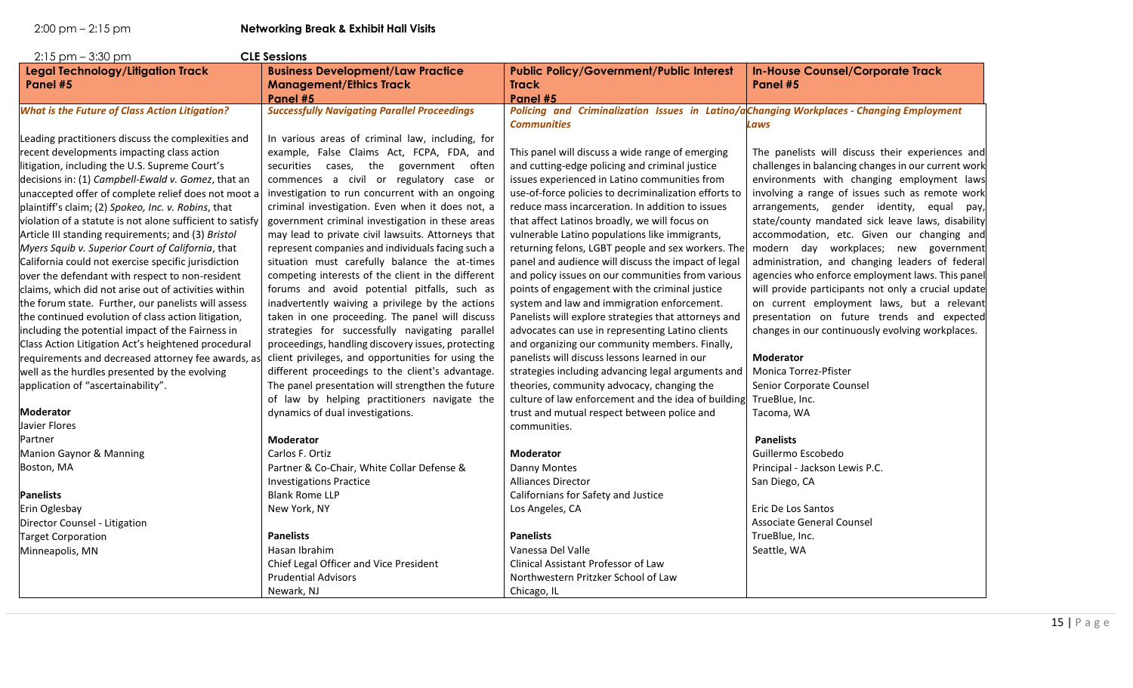| $2:15$ pm $-3:30$ pm                                      | <b>CLE Sessions</b>                                 |                                                                                          |                                                     |
|-----------------------------------------------------------|-----------------------------------------------------|------------------------------------------------------------------------------------------|-----------------------------------------------------|
| Legal Technology/Litigation Track                         | <b>Business Development/Law Practice</b>            | <b>Public Policy/Government/Public Interest</b>                                          | <b>In-House Counsel/Corporate Track</b>             |
| Panel #5                                                  | <b>Management/Ethics Track</b>                      | <b>Track</b>                                                                             | Panel #5                                            |
|                                                           | Panel #5                                            | Panel #5                                                                                 |                                                     |
| <b>What is the Future of Class Action Litigation?</b>     | <b>Successfully Navigating Parallel Proceedings</b> | Policing and Criminalization Issues in Latino/aChanging Workplaces - Changing Employment |                                                     |
|                                                           |                                                     | <b>Communities</b>                                                                       | Laws                                                |
| Leading practitioners discuss the complexities and        | In various areas of criminal law, including, for    |                                                                                          |                                                     |
| recent developments impacting class action                | example, False Claims Act, FCPA, FDA, and           | This panel will discuss a wide range of emerging                                         | The panelists will discuss their experiences and    |
| litigation, including the U.S. Supreme Court's            | securities cases, the government often              | and cutting-edge policing and criminal justice                                           | challenges in balancing changes in our current work |
| decisions in: (1) Campbell-Ewald v. Gomez, that an        | commences a civil or regulatory case or             | issues experienced in Latino communities from                                            | environments with changing employment laws          |
| unaccepted offer of complete relief does not moot a       | investigation to run concurrent with an ongoing     | use-of-force policies to decriminalization efforts to                                    | involving a range of issues such as remote work     |
| plaintiff's claim; (2) Spokeo, Inc. v. Robins, that       | criminal investigation. Even when it does not, a    | reduce mass incarceration. In addition to issues                                         | arrangements, gender identity, equal pay,           |
| violation of a statute is not alone sufficient to satisfy | government criminal investigation in these areas    | that affect Latinos broadly, we will focus on                                            | state/county mandated sick leave laws, disability   |
| Article III standing requirements; and (3) Bristol        | may lead to private civil lawsuits. Attorneys that  | vulnerable Latino populations like immigrants,                                           | accommodation, etc. Given our changing and          |
| Myers Squib v. Superior Court of California, that         | represent companies and individuals facing such a   | returning felons, LGBT people and sex workers. The                                       | modern day workplaces; new government               |
| California could not exercise specific jurisdiction       | situation must carefully balance the at-times       | panel and audience will discuss the impact of legal                                      | administration, and changing leaders of federal     |
| over the defendant with respect to non-resident           | competing interests of the client in the different  | and policy issues on our communities from various                                        | agencies who enforce employment laws. This panel    |
| claims, which did not arise out of activities within      | forums and avoid potential pitfalls, such as        | points of engagement with the criminal justice                                           | will provide participants not only a crucial update |
| the forum state. Further, our panelists will assess       | inadvertently waiving a privilege by the actions    | system and law and immigration enforcement.                                              | on current employment laws, but a relevant          |
| the continued evolution of class action litigation,       | taken in one proceeding. The panel will discuss     | Panelists will explore strategies that attorneys and                                     | presentation on future trends and expected          |
| including the potential impact of the Fairness in         | strategies for successfully navigating parallel     | advocates can use in representing Latino clients                                         | changes in our continuously evolving workplaces.    |
| Class Action Litigation Act's heightened procedural       | proceedings, handling discovery issues, protecting  | and organizing our community members. Finally,                                           |                                                     |
| requirements and decreased attorney fee awards, as        | client privileges, and opportunities for using the  | panelists will discuss lessons learned in our                                            | <b>Moderator</b>                                    |
| well as the hurdles presented by the evolving             | different proceedings to the client's advantage.    | strategies including advancing legal arguments and                                       | Monica Torrez-Pfister                               |
| application of "ascertainability".                        | The panel presentation will strengthen the future   | theories, community advocacy, changing the                                               | Senior Corporate Counsel                            |
|                                                           | of law by helping practitioners navigate the        | culture of law enforcement and the idea of building                                      | TrueBlue, Inc.                                      |
| <b>Moderator</b>                                          | dynamics of dual investigations.                    | trust and mutual respect between police and                                              | Tacoma, WA                                          |
| Javier Flores                                             |                                                     | communities.                                                                             |                                                     |
| Partner                                                   | <b>Moderator</b>                                    |                                                                                          | <b>Panelists</b>                                    |
| Manion Gaynor & Manning                                   | Carlos F. Ortiz                                     | <b>Moderator</b>                                                                         | Guillermo Escobedo                                  |
| Boston, MA                                                | Partner & Co-Chair, White Collar Defense &          | Danny Montes                                                                             | Principal - Jackson Lewis P.C.                      |
|                                                           | <b>Investigations Practice</b>                      | <b>Alliances Director</b>                                                                | San Diego, CA                                       |
| <b>Panelists</b>                                          | <b>Blank Rome LLP</b>                               | Californians for Safety and Justice                                                      |                                                     |
| Erin Oglesbay                                             | New York, NY                                        | Los Angeles, CA                                                                          | Eric De Los Santos                                  |
| Director Counsel - Litigation                             |                                                     |                                                                                          | <b>Associate General Counsel</b>                    |
| <b>Target Corporation</b>                                 | <b>Panelists</b>                                    | <b>Panelists</b>                                                                         | TrueBlue, Inc.                                      |
| Minneapolis, MN                                           | Hasan Ibrahim                                       | Vanessa Del Valle                                                                        | Seattle, WA                                         |
|                                                           | Chief Legal Officer and Vice President              | Clinical Assistant Professor of Law                                                      |                                                     |
|                                                           | <b>Prudential Advisors</b>                          | Northwestern Pritzker School of Law                                                      |                                                     |
|                                                           | Newark, NJ                                          | Chicago, IL                                                                              |                                                     |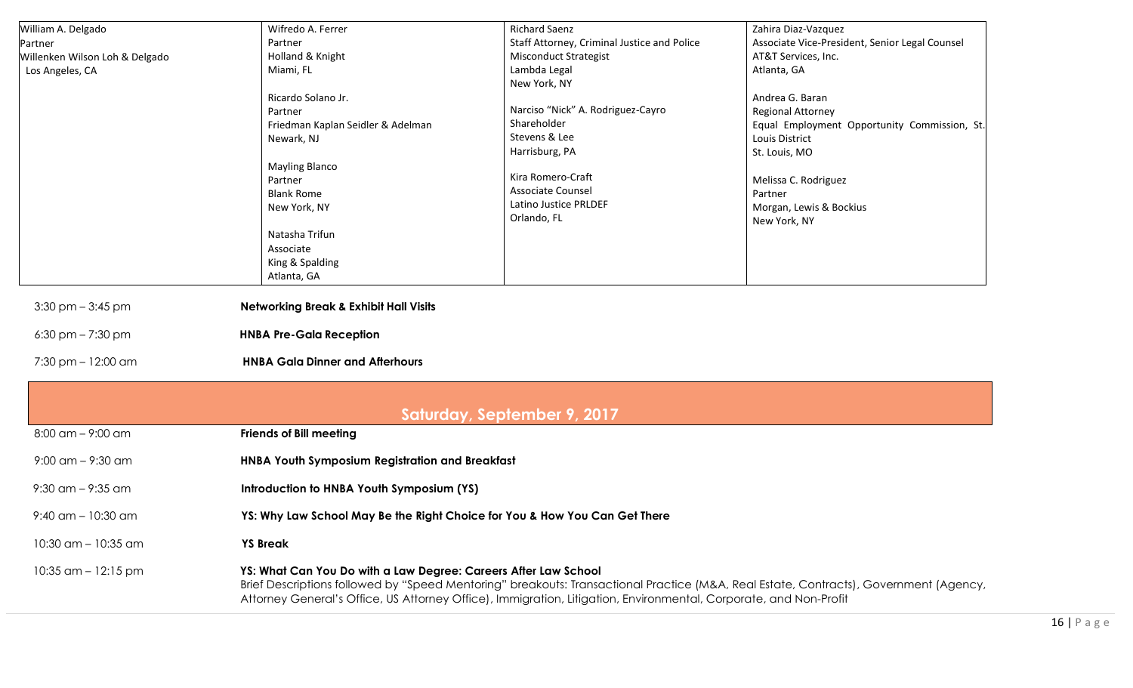| William A. Delgado             | Wifredo A. Ferrer                                 | <b>Richard Saenz</b>                        | Zahira Diaz-Vazquez                            |
|--------------------------------|---------------------------------------------------|---------------------------------------------|------------------------------------------------|
| Partner                        | Partner                                           | Staff Attorney, Criminal Justice and Police | Associate Vice-President, Senior Legal Counsel |
| Willenken Wilson Loh & Delgado | Holland & Knight                                  | <b>Misconduct Strategist</b>                | AT&T Services, Inc.                            |
| Los Angeles, CA                | Miami, FL                                         | Lambda Legal                                | Atlanta, GA                                    |
|                                |                                                   | New York, NY                                |                                                |
|                                | Ricardo Solano Jr.                                |                                             | Andrea G. Baran                                |
|                                | Partner                                           | Narciso "Nick" A. Rodriguez-Cayro           | <b>Regional Attorney</b>                       |
|                                | Friedman Kaplan Seidler & Adelman                 | Shareholder                                 | Equal Employment Opportunity Commission, St.   |
|                                | Newark, NJ                                        | Stevens & Lee                               | Louis District                                 |
|                                |                                                   | Harrisburg, PA                              | St. Louis, MO                                  |
|                                | <b>Mayling Blanco</b>                             | Kira Romero-Craft                           |                                                |
|                                | Partner                                           | Associate Counsel                           | Melissa C. Rodriguez                           |
|                                | <b>Blank Rome</b>                                 | Latino Justice PRLDEF                       | Partner                                        |
|                                | New York, NY                                      | Orlando, FL                                 | Morgan, Lewis & Bockius                        |
|                                |                                                   |                                             | New York, NY                                   |
|                                | Natasha Trifun                                    |                                             |                                                |
|                                | Associate                                         |                                             |                                                |
|                                | King & Spalding<br>Atlanta, GA                    |                                             |                                                |
|                                |                                                   |                                             |                                                |
| $3:30$ pm $-3:45$ pm           | <b>Networking Break &amp; Exhibit Hall Visits</b> |                                             |                                                |
| $6:30$ pm $- 7:30$ pm          | <b>HNBA Pre-Gala Reception</b>                    |                                             |                                                |
| $7:30$ pm $-12:00$ am          | <b>HNBA Gala Dinner and Afterhours</b>            |                                             |                                                |
|                                |                                                   |                                             |                                                |
|                                |                                                   | Saturday, September 9, 2017                 |                                                |
| $8:00$ am $-$ 9:00 am          | <b>Friends of Bill meeting</b>                    |                                             |                                                |

- 9:00 am 9:30 am **HNBA Youth Symposium Registration and Breakfast**
- 9:30 am 9:35 am **Introduction to HNBA Youth Symposium (YS)**
- 9:40 am 10:30 am **YS: Why Law School May Be the Right Choice for You & How You Can Get There**
- 10:30 am 10:35 am **YS Break**
- 10:35 am 12:15 pm **YS: What Can You Do with a Law Degree: Careers After Law School** Brief Descriptions followed by "Speed Mentoring" breakouts: Transactional Practice (M&A, Real Estate, Contracts), Government (Agency, Attorney General's Office, US Attorney Office), Immigration, Litigation, Environmental, Corporate, and Non-Profit